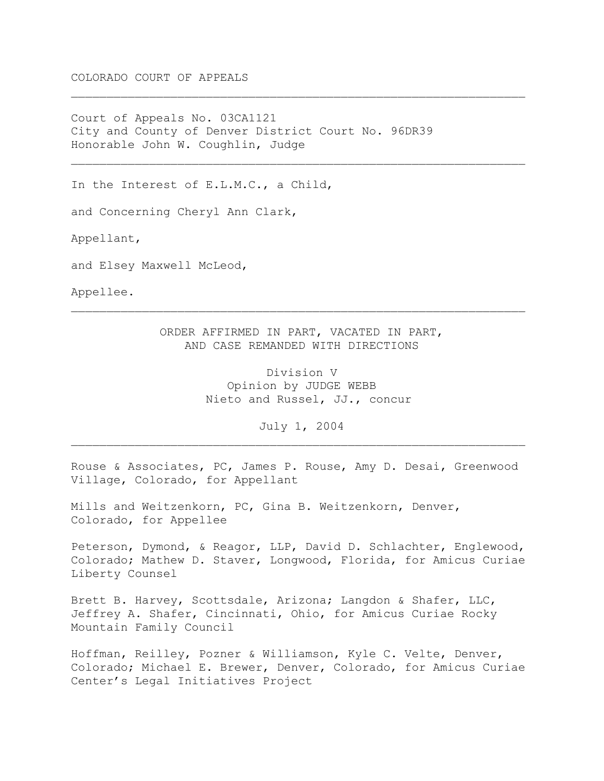COLORADO COURT OF APPEALS

Court of Appeals No. 03CA1121 City and County of Denver District Court No. 96DR39 Honorable John W. Coughlin, Judge

In the Interest of E.L.M.C., a Child,

and Concerning Cheryl Ann Clark,

Appellant,

and Elsey Maxwell McLeod,

Appellee.

ORDER AFFIRMED IN PART, VACATED IN PART, AND CASE REMANDED WITH DIRECTIONS

 $\_$  , and the set of the set of the set of the set of the set of the set of the set of the set of the set of the set of the set of the set of the set of the set of the set of the set of the set of the set of the set of th

 $\_$  , and the set of the set of the set of the set of the set of the set of the set of the set of the set of the set of the set of the set of the set of the set of the set of the set of the set of the set of the set of th

 $\_$  , and the set of the set of the set of the set of the set of the set of the set of the set of the set of the set of the set of the set of the set of the set of the set of the set of the set of the set of the set of th

Division V Opinion by JUDGE WEBB Nieto and Russel, JJ., concur

July 1, 2004  $\_$  , and the set of the set of the set of the set of the set of the set of the set of the set of the set of the set of the set of the set of the set of the set of the set of the set of the set of the set of the set of th

Rouse & Associates, PC, James P. Rouse, Amy D. Desai, Greenwood Village, Colorado, for Appellant

Mills and Weitzenkorn, PC, Gina B. Weitzenkorn, Denver, Colorado, for Appellee

Peterson, Dymond, & Reagor, LLP, David D. Schlachter, Englewood, Colorado; Mathew D. Staver, Longwood, Florida, for Amicus Curiae Liberty Counsel

Brett B. Harvey, Scottsdale, Arizona; Langdon & Shafer, LLC, Jeffrey A. Shafer, Cincinnati, Ohio, for Amicus Curiae Rocky Mountain Family Council

Hoffman, Reilley, Pozner & Williamson, Kyle C. Velte, Denver, Colorado; Michael E. Brewer, Denver, Colorado, for Amicus Curiae Center's Legal Initiatives Project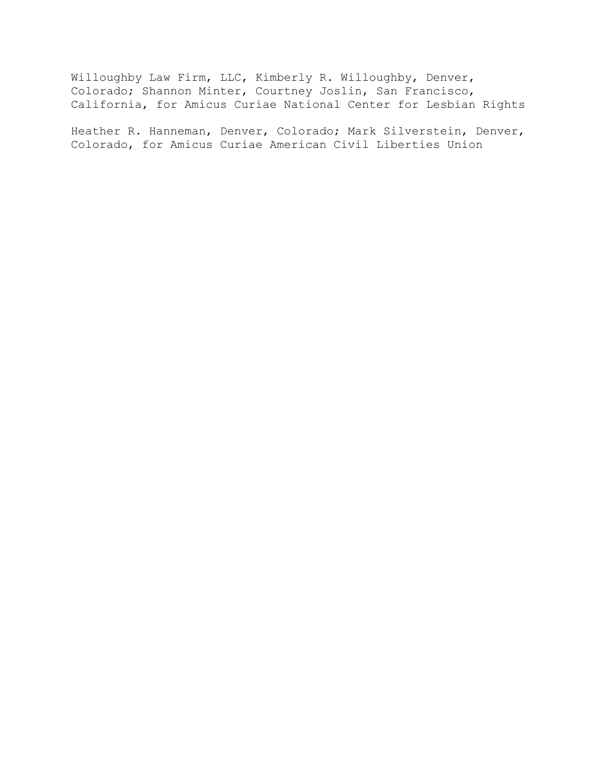Willoughby Law Firm, LLC, Kimberly R. Willoughby, Denver, Colorado; Shannon Minter, Courtney Joslin, San Francisco, California, for Amicus Curiae National Center for Lesbian Rights

Heather R. Hanneman, Denver, Colorado; Mark Silverstein, Denver, Colorado, for Amicus Curiae American Civil Liberties Union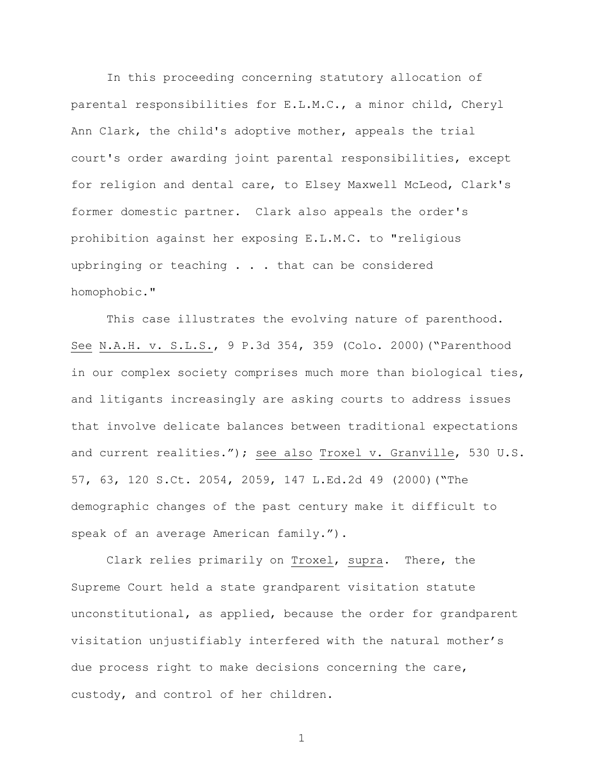In this proceeding concerning statutory allocation of parental responsibilities for E.L.M.C., a minor child, Cheryl Ann Clark, the child's adoptive mother, appeals the trial court's order awarding joint parental responsibilities, except for religion and dental care, to Elsey Maxwell McLeod, Clark's former domestic partner. Clark also appeals the order's prohibition against her exposing E.L.M.C. to "religious upbringing or teaching . . . that can be considered homophobic."

This case illustrates the evolving nature of parenthood. See N.A.H. v. S.L.S., 9 P.3d 354, 359 (Colo. 2000)("Parenthood in our complex society comprises much more than biological ties, and litigants increasingly are asking courts to address issues that involve delicate balances between traditional expectations and current realities."); see also Troxel v. Granville, 530 U.S. 57, 63, 120 S.Ct. 2054, 2059, 147 L.Ed.2d 49 (2000)("The demographic changes of the past century make it difficult to speak of an average American family.").

Clark relies primarily on Troxel, supra. There, the Supreme Court held a state grandparent visitation statute unconstitutional, as applied, because the order for grandparent visitation unjustifiably interfered with the natural mother's due process right to make decisions concerning the care, custody, and control of her children.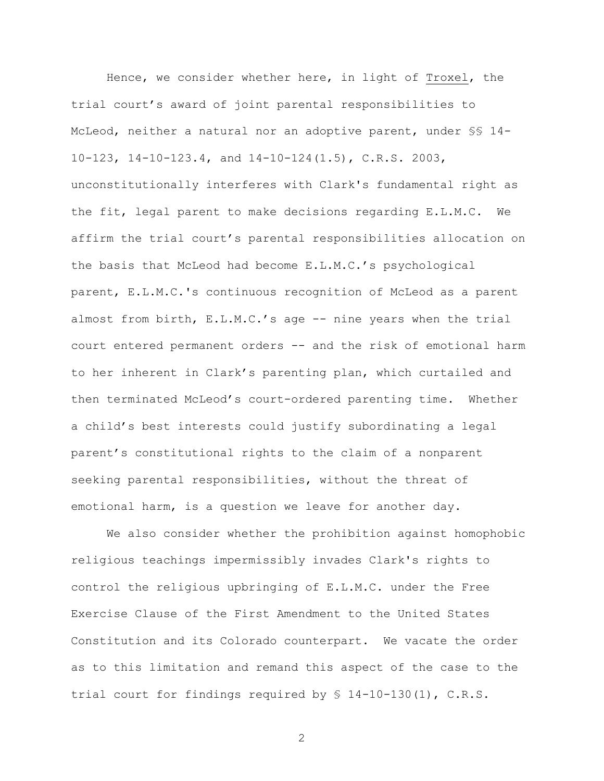Hence, we consider whether here, in light of Troxel, the trial court's award of joint parental responsibilities to McLeod, neither a natural nor an adoptive parent, under §§ 14- 10-123, 14-10-123.4, and 14-10-124(1.5), C.R.S. 2003, unconstitutionally interferes with Clark's fundamental right as the fit, legal parent to make decisions regarding E.L.M.C. We affirm the trial court's parental responsibilities allocation on the basis that McLeod had become E.L.M.C.'s psychological parent, E.L.M.C.'s continuous recognition of McLeod as a parent almost from birth, E.L.M.C.'s age -- nine years when the trial court entered permanent orders -- and the risk of emotional harm to her inherent in Clark's parenting plan, which curtailed and then terminated McLeod's court-ordered parenting time. Whether a child's best interests could justify subordinating a legal parent's constitutional rights to the claim of a nonparent seeking parental responsibilities, without the threat of emotional harm, is a question we leave for another day.

We also consider whether the prohibition against homophobic religious teachings impermissibly invades Clark's rights to control the religious upbringing of E.L.M.C. under the Free Exercise Clause of the First Amendment to the United States Constitution and its Colorado counterpart. We vacate the order as to this limitation and remand this aspect of the case to the trial court for findings required by § 14-10-130(1), C.R.S.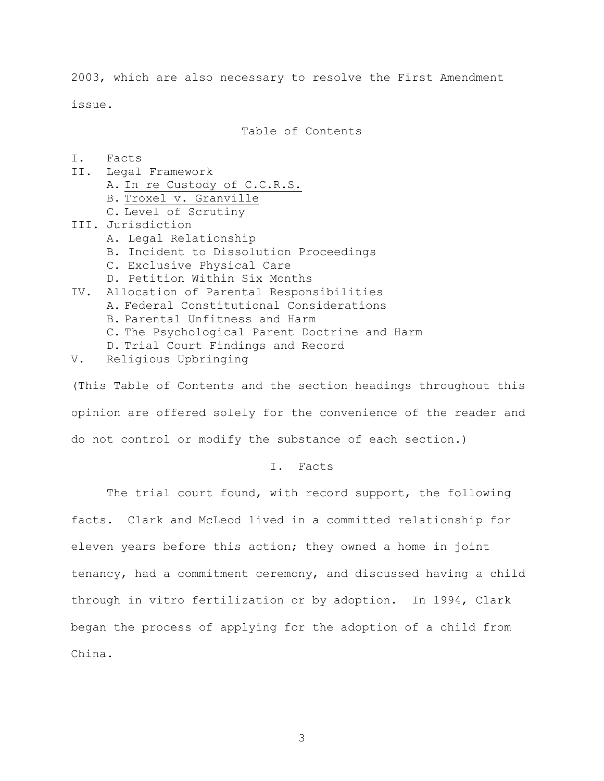2003, which are also necessary to resolve the First Amendment issue.

Table of Contents

- I. Facts
- II. Legal Framework A. In re Custody of C.C.R.S. B. Troxel v. Granville C. Level of Scrutiny
- III. Jurisdiction
	- A. Legal Relationship
	- B. Incident to Dissolution Proceedings
	- C. Exclusive Physical Care
	- D. Petition Within Six Months
- IV. Allocation of Parental Responsibilities A. Federal Constitutional Considerations B. Parental Unfitness and Harm C. The Psychological Parent Doctrine and Harm D. Trial Court Findings and Record
- V. Religious Upbringing

(This Table of Contents and the section headings throughout this opinion are offered solely for the convenience of the reader and do not control or modify the substance of each section.)

### I. Facts

The trial court found, with record support, the following facts. Clark and McLeod lived in a committed relationship for eleven years before this action; they owned a home in joint tenancy, had a commitment ceremony, and discussed having a child through in vitro fertilization or by adoption. In 1994, Clark began the process of applying for the adoption of a child from China.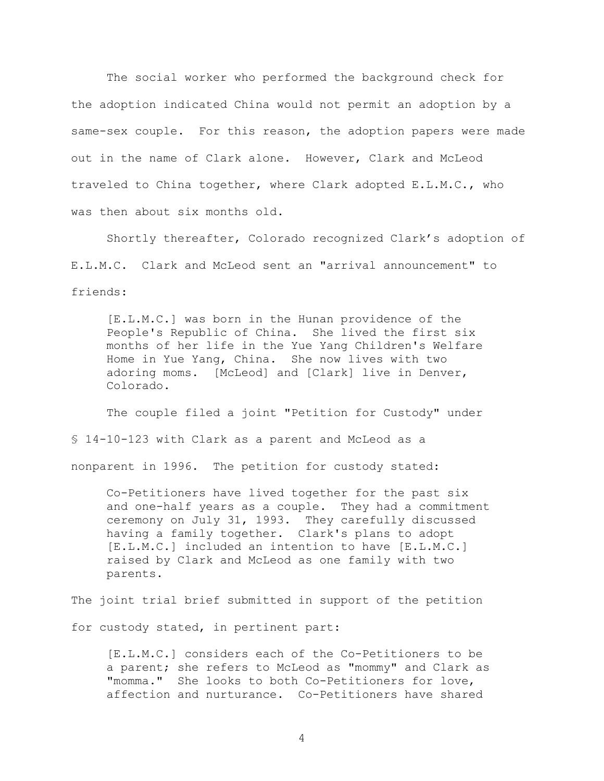The social worker who performed the background check for the adoption indicated China would not permit an adoption by a same-sex couple. For this reason, the adoption papers were made out in the name of Clark alone. However, Clark and McLeod traveled to China together, where Clark adopted E.L.M.C., who was then about six months old.

Shortly thereafter, Colorado recognized Clark's adoption of E.L.M.C. Clark and McLeod sent an "arrival announcement" to friends:

[E.L.M.C.] was born in the Hunan providence of the People's Republic of China. She lived the first six months of her life in the Yue Yang Children's Welfare Home in Yue Yang, China. She now lives with two adoring moms. [McLeod] and [Clark] live in Denver, Colorado.

The couple filed a joint "Petition for Custody" under § 14-10-123 with Clark as a parent and McLeod as a nonparent in 1996. The petition for custody stated:

Co-Petitioners have lived together for the past six and one-half years as a couple. They had a commitment ceremony on July 31, 1993. They carefully discussed having a family together. Clark's plans to adopt [E.L.M.C.] included an intention to have [E.L.M.C.] raised by Clark and McLeod as one family with two parents.

The joint trial brief submitted in support of the petition for custody stated, in pertinent part:

[E.L.M.C.] considers each of the Co-Petitioners to be a parent; she refers to McLeod as "mommy" and Clark as "momma." She looks to both Co-Petitioners for love, affection and nurturance. Co-Petitioners have shared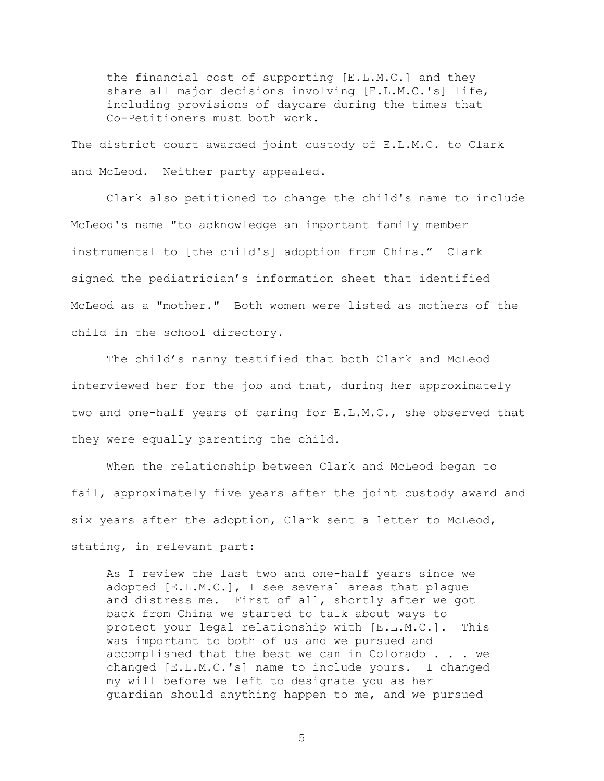the financial cost of supporting [E.L.M.C.] and they share all major decisions involving [E.L.M.C.'s] life, including provisions of daycare during the times that Co-Petitioners must both work.

The district court awarded joint custody of E.L.M.C. to Clark and McLeod. Neither party appealed.

 Clark also petitioned to change the child's name to include McLeod's name "to acknowledge an important family member instrumental to [the child's] adoption from China." Clark signed the pediatrician's information sheet that identified McLeod as a "mother." Both women were listed as mothers of the child in the school directory.

The child's nanny testified that both Clark and McLeod interviewed her for the job and that, during her approximately two and one-half years of caring for E.L.M.C., she observed that they were equally parenting the child.

When the relationship between Clark and McLeod began to fail, approximately five years after the joint custody award and six years after the adoption, Clark sent a letter to McLeod, stating, in relevant part:

As I review the last two and one-half years since we adopted [E.L.M.C.], I see several areas that plague and distress me. First of all, shortly after we got back from China we started to talk about ways to protect your legal relationship with [E.L.M.C.]. This was important to both of us and we pursued and accomplished that the best we can in Colorado . . . we changed [E.L.M.C.'s] name to include yours. I changed my will before we left to designate you as her guardian should anything happen to me, and we pursued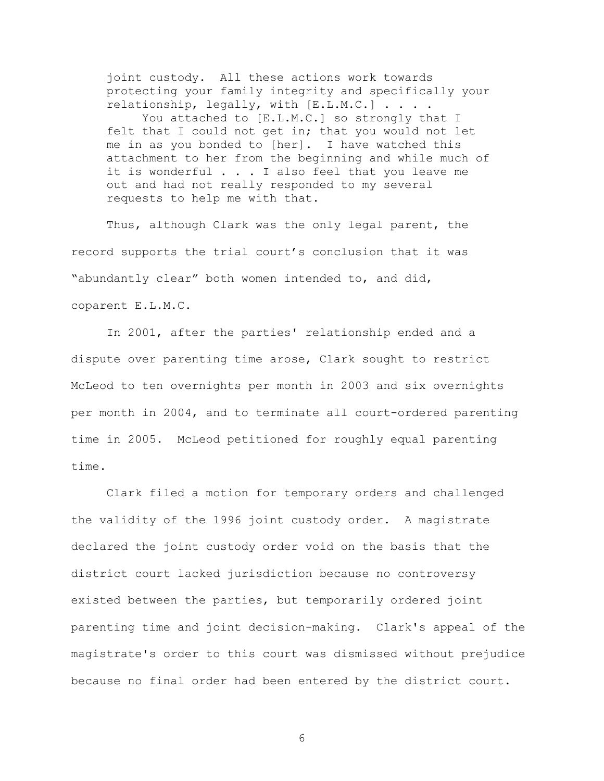joint custody. All these actions work towards protecting your family integrity and specifically your relationship, legally, with [E.L.M.C.] . . . . You attached to [E.L.M.C.] so strongly that I felt that I could not get in; that you would not let me in as you bonded to [her]. I have watched this attachment to her from the beginning and while much of it is wonderful . . . I also feel that you leave me out and had not really responded to my several requests to help me with that.

Thus, although Clark was the only legal parent, the record supports the trial court's conclusion that it was "abundantly clear" both women intended to, and did, coparent E.L.M.C.

 In 2001, after the parties' relationship ended and a dispute over parenting time arose, Clark sought to restrict McLeod to ten overnights per month in 2003 and six overnights per month in 2004, and to terminate all court-ordered parenting time in 2005. McLeod petitioned for roughly equal parenting time.

Clark filed a motion for temporary orders and challenged the validity of the 1996 joint custody order. A magistrate declared the joint custody order void on the basis that the district court lacked jurisdiction because no controversy existed between the parties, but temporarily ordered joint parenting time and joint decision-making. Clark's appeal of the magistrate's order to this court was dismissed without prejudice because no final order had been entered by the district court.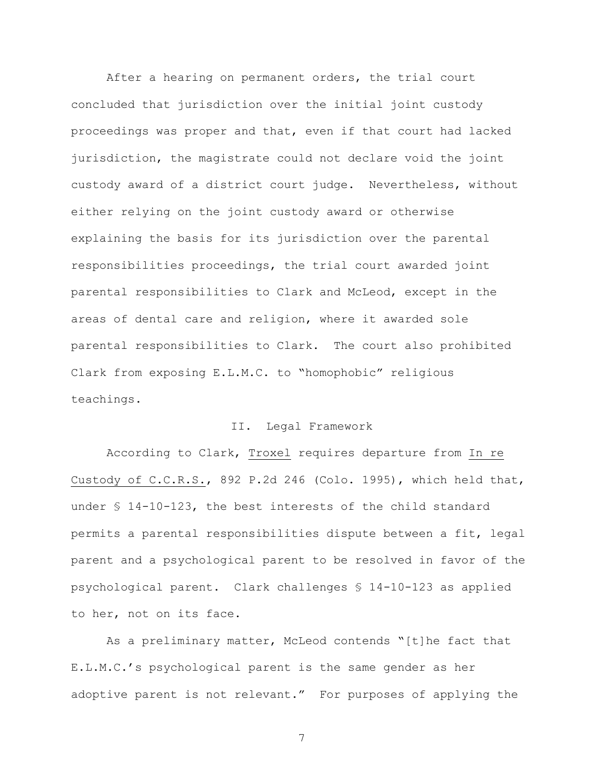After a hearing on permanent orders, the trial court concluded that jurisdiction over the initial joint custody proceedings was proper and that, even if that court had lacked jurisdiction, the magistrate could not declare void the joint custody award of a district court judge. Nevertheless, without either relying on the joint custody award or otherwise explaining the basis for its jurisdiction over the parental responsibilities proceedings, the trial court awarded joint parental responsibilities to Clark and McLeod, except in the areas of dental care and religion, where it awarded sole parental responsibilities to Clark. The court also prohibited Clark from exposing E.L.M.C. to "homophobic" religious teachings.

#### II. Legal Framework

According to Clark, Troxel requires departure from In re Custody of C.C.R.S., 892 P.2d 246 (Colo. 1995), which held that, under § 14-10-123, the best interests of the child standard permits a parental responsibilities dispute between a fit, legal parent and a psychological parent to be resolved in favor of the psychological parent. Clark challenges § 14-10-123 as applied to her, not on its face.

As a preliminary matter, McLeod contends "[t]he fact that E.L.M.C.'s psychological parent is the same gender as her adoptive parent is not relevant." For purposes of applying the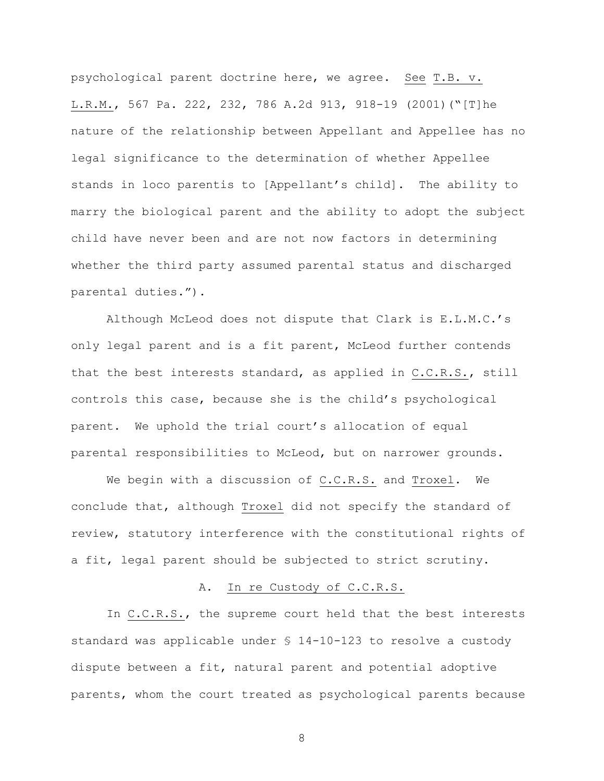psychological parent doctrine here, we agree. See T.B. v. L.R.M., 567 Pa. 222, 232, 786 A.2d 913, 918-19 (2001)("[T]he nature of the relationship between Appellant and Appellee has no legal significance to the determination of whether Appellee stands in loco parentis to [Appellant's child]. The ability to marry the biological parent and the ability to adopt the subject child have never been and are not now factors in determining whether the third party assumed parental status and discharged parental duties.").

Although McLeod does not dispute that Clark is E.L.M.C.'s only legal parent and is a fit parent, McLeod further contends that the best interests standard, as applied in C.C.R.S., still controls this case, because she is the child's psychological parent. We uphold the trial court's allocation of equal parental responsibilities to McLeod, but on narrower grounds.

We begin with a discussion of C.C.R.S. and Troxel. We conclude that, although Troxel did not specify the standard of review, statutory interference with the constitutional rights of a fit, legal parent should be subjected to strict scrutiny.

### A. In re Custody of C.C.R.S.

In C.C.R.S., the supreme court held that the best interests standard was applicable under § 14-10-123 to resolve a custody dispute between a fit, natural parent and potential adoptive parents, whom the court treated as psychological parents because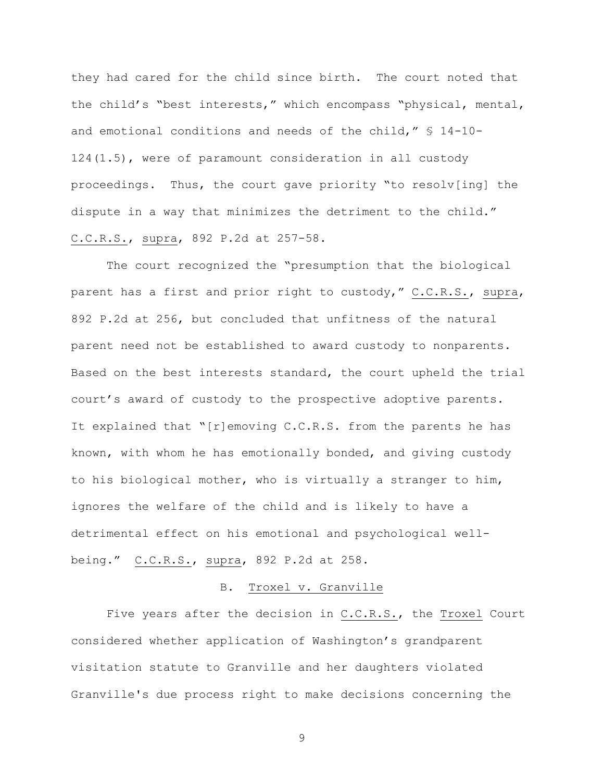they had cared for the child since birth. The court noted that the child's "best interests," which encompass "physical, mental, and emotional conditions and needs of the child," § 14-10- 124(1.5), were of paramount consideration in all custody proceedings. Thus, the court gave priority "to resolv[ing] the dispute in a way that minimizes the detriment to the child." C.C.R.S., supra, 892 P.2d at 257-58.

The court recognized the "presumption that the biological parent has a first and prior right to custody," C.C.R.S., supra, 892 P.2d at 256, but concluded that unfitness of the natural parent need not be established to award custody to nonparents. Based on the best interests standard, the court upheld the trial court's award of custody to the prospective adoptive parents. It explained that "[r]emoving C.C.R.S. from the parents he has known, with whom he has emotionally bonded, and giving custody to his biological mother, who is virtually a stranger to him, ignores the welfare of the child and is likely to have a detrimental effect on his emotional and psychological wellbeing." C.C.R.S., supra, 892 P.2d at 258.

#### B. Troxel v. Granville

Five years after the decision in C.C.R.S., the Troxel Court considered whether application of Washington's grandparent visitation statute to Granville and her daughters violated Granville's due process right to make decisions concerning the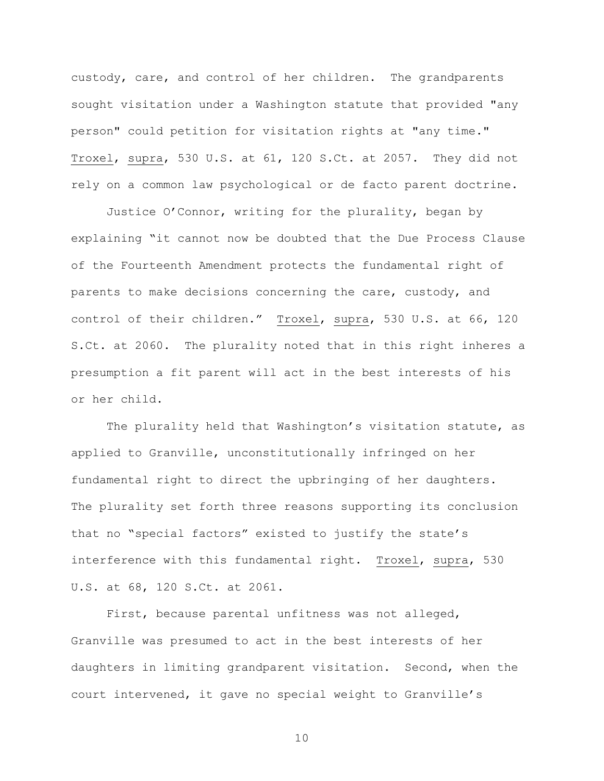custody, care, and control of her children. The grandparents sought visitation under a Washington statute that provided "any person" could petition for visitation rights at "any time." Troxel, supra, 530 U.S. at 61, 120 S.Ct. at 2057. They did not rely on a common law psychological or de facto parent doctrine.

Justice O'Connor, writing for the plurality, began by explaining "it cannot now be doubted that the Due Process Clause of the Fourteenth Amendment protects the fundamental right of parents to make decisions concerning the care, custody, and control of their children." Troxel, supra, 530 U.S. at 66, 120 S.Ct. at 2060. The plurality noted that in this right inheres a presumption a fit parent will act in the best interests of his or her child.

The plurality held that Washington's visitation statute, as applied to Granville, unconstitutionally infringed on her fundamental right to direct the upbringing of her daughters. The plurality set forth three reasons supporting its conclusion that no "special factors" existed to justify the state's interference with this fundamental right. Troxel, supra, 530 U.S. at 68, 120 S.Ct. at 2061.

First, because parental unfitness was not alleged, Granville was presumed to act in the best interests of her daughters in limiting grandparent visitation. Second, when the court intervened, it gave no special weight to Granville's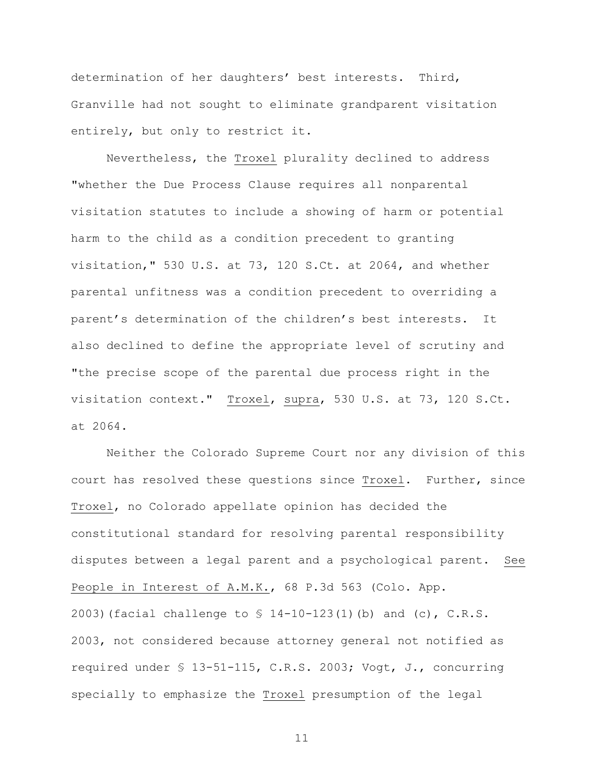determination of her daughters' best interests. Third, Granville had not sought to eliminate grandparent visitation entirely, but only to restrict it.

Nevertheless, the Troxel plurality declined to address "whether the Due Process Clause requires all nonparental visitation statutes to include a showing of harm or potential harm to the child as a condition precedent to granting visitation," 530 U.S. at 73, 120 S.Ct. at 2064, and whether parental unfitness was a condition precedent to overriding a parent's determination of the children's best interests. It also declined to define the appropriate level of scrutiny and "the precise scope of the parental due process right in the visitation context." Troxel, supra, 530 U.S. at 73, 120 S.Ct. at 2064.

Neither the Colorado Supreme Court nor any division of this court has resolved these questions since Troxel. Further, since Troxel, no Colorado appellate opinion has decided the constitutional standard for resolving parental responsibility disputes between a legal parent and a psychological parent. See People in Interest of A.M.K., 68 P.3d 563 (Colo. App. 2003)(facial challenge to § 14-10-123(1)(b) and (c), C.R.S. 2003, not considered because attorney general not notified as required under § 13-51-115, C.R.S. 2003; Vogt, J., concurring specially to emphasize the Troxel presumption of the legal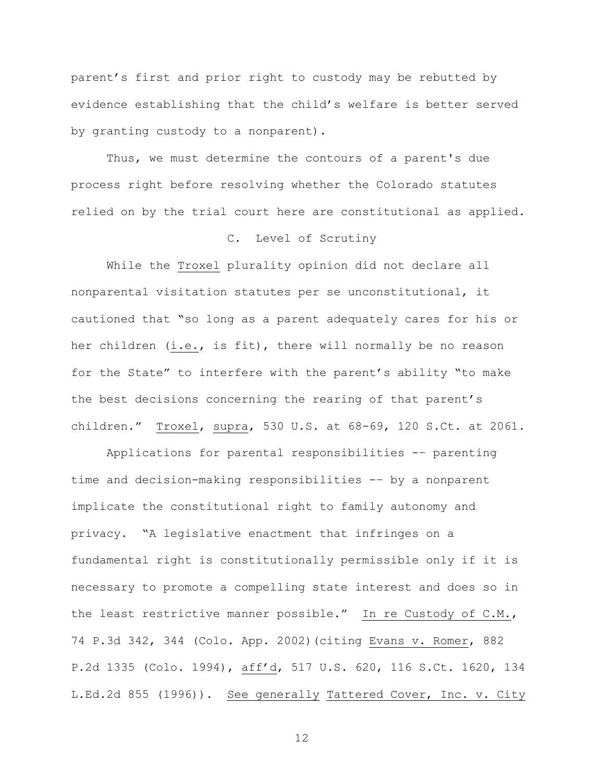parent's first and prior right to custody may be rebutted by evidence establishing that the child's welfare is better served by granting custody to a nonparent).

Thus, we must determine the contours of a parent's due process right before resolving whether the Colorado statutes relied on by the trial court here are constitutional as applied.

## C. Level of Scrutiny

While the Troxel plurality opinion did not declare all nonparental visitation statutes per se unconstitutional, it cautioned that "so long as a parent adequately cares for his or her children (i.e., is fit), there will normally be no reason for the State" to interfere with the parent's ability "to make the best decisions concerning the rearing of that parent's children." Troxel, supra, 530 U.S. at 68-69, 120 S.Ct. at 2061.

Applications for parental responsibilities -– parenting time and decision-making responsibilities -– by a nonparent implicate the constitutional right to family autonomy and privacy. "A legislative enactment that infringes on a fundamental right is constitutionally permissible only if it is necessary to promote a compelling state interest and does so in the least restrictive manner possible." In re Custody of C.M., 74 P.3d 342, 344 (Colo. App. 2002)(citing Evans v. Romer, 882 P.2d 1335 (Colo. 1994), aff'd, 517 U.S. 620, 116 S.Ct. 1620, 134 L.Ed.2d 855 (1996)). See generally Tattered Cover, Inc. v. City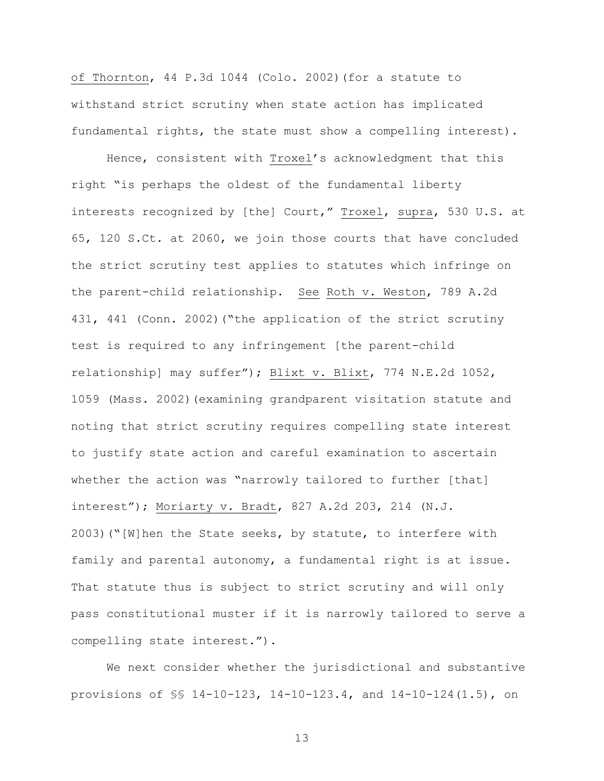of Thornton, 44 P.3d 1044 (Colo. 2002)(for a statute to withstand strict scrutiny when state action has implicated fundamental rights, the state must show a compelling interest).

Hence, consistent with Troxel's acknowledgment that this right "is perhaps the oldest of the fundamental liberty interests recognized by [the] Court," Troxel, supra, 530 U.S. at 65, 120 S.Ct. at 2060, we join those courts that have concluded the strict scrutiny test applies to statutes which infringe on the parent-child relationship. See Roth v. Weston, 789 A.2d 431, 441 (Conn. 2002)("the application of the strict scrutiny test is required to any infringement [the parent-child relationship] may suffer"); Blixt v. Blixt, 774 N.E.2d 1052, 1059 (Mass. 2002)(examining grandparent visitation statute and noting that strict scrutiny requires compelling state interest to justify state action and careful examination to ascertain whether the action was "narrowly tailored to further [that] interest"); Moriarty v. Bradt, 827 A.2d 203, 214 (N.J. 2003)("[W]hen the State seeks, by statute, to interfere with family and parental autonomy, a fundamental right is at issue. That statute thus is subject to strict scrutiny and will only pass constitutional muster if it is narrowly tailored to serve a compelling state interest.").

We next consider whether the jurisdictional and substantive provisions of §§ 14-10-123, 14-10-123.4, and 14-10-124(1.5), on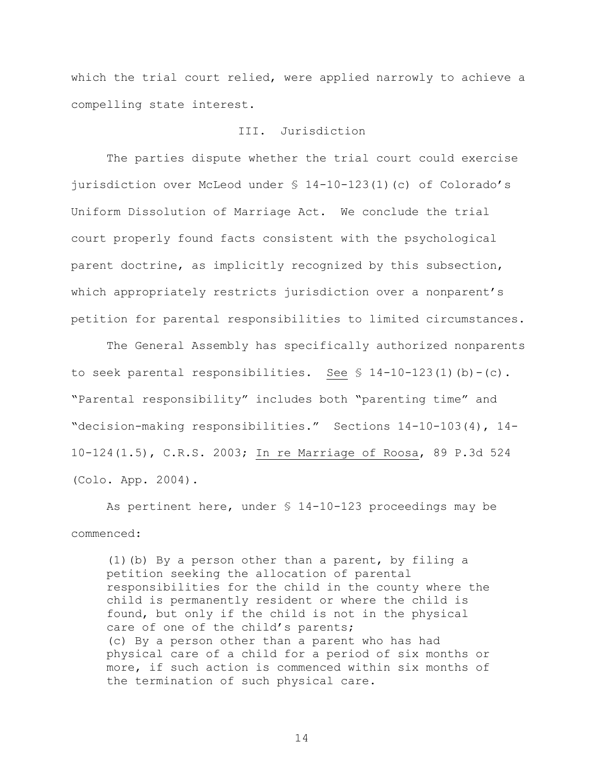which the trial court relied, were applied narrowly to achieve a compelling state interest.

#### III. Jurisdiction

The parties dispute whether the trial court could exercise jurisdiction over McLeod under § 14-10-123(1)(c) of Colorado's Uniform Dissolution of Marriage Act. We conclude the trial court properly found facts consistent with the psychological parent doctrine, as implicitly recognized by this subsection, which appropriately restricts jurisdiction over a nonparent's petition for parental responsibilities to limited circumstances.

The General Assembly has specifically authorized nonparents to seek parental responsibilities. See  $$ 14-10-123(1)(b)-(c)$ . "Parental responsibility" includes both "parenting time" and "decision-making responsibilities." Sections 14-10-103(4), 14- 10-124(1.5), C.R.S. 2003; In re Marriage of Roosa, 89 P.3d 524 (Colo. App. 2004).

As pertinent here, under § 14-10-123 proceedings may be commenced:

(1)(b) By a person other than a parent, by filing a petition seeking the allocation of parental responsibilities for the child in the county where the child is permanently resident or where the child is found, but only if the child is not in the physical care of one of the child's parents; (c) By a person other than a parent who has had physical care of a child for a period of six months or more, if such action is commenced within six months of the termination of such physical care.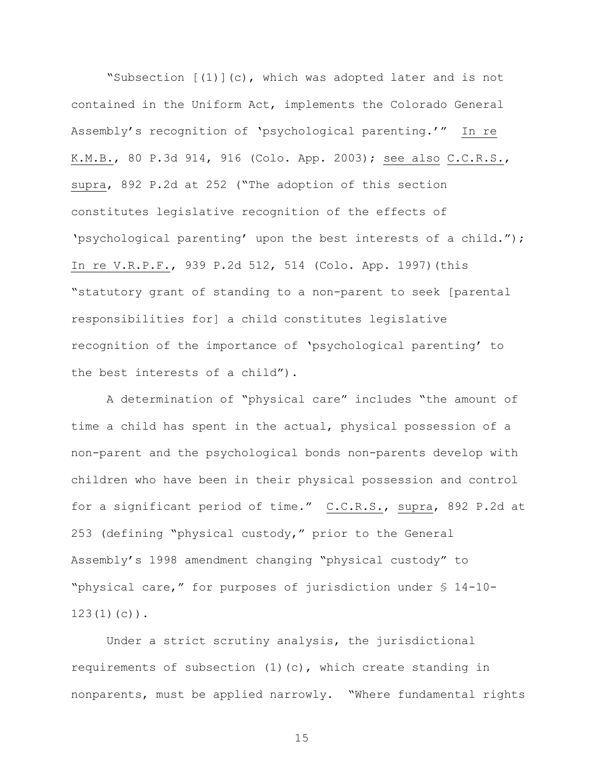"Subsection  $[(1)](c)$ , which was adopted later and is not contained in the Uniform Act, implements the Colorado General Assembly's recognition of 'psychological parenting.'" In re K.M.B., 80 P.3d 914, 916 (Colo. App. 2003); see also C.C.R.S., supra, 892 P.2d at 252 ("The adoption of this section constitutes legislative recognition of the effects of 'psychological parenting' upon the best interests of a child."); In re V.R.P.F., 939 P.2d 512, 514 (Colo. App. 1997)(this "statutory grant of standing to a non-parent to seek [parental responsibilities for] a child constitutes legislative recognition of the importance of 'psychological parenting' to the best interests of a child").

A determination of "physical care" includes "the amount of time a child has spent in the actual, physical possession of a non-parent and the psychological bonds non-parents develop with children who have been in their physical possession and control for a significant period of time." C.C.R.S., supra, 892 P.2d at 253 (defining "physical custody," prior to the General Assembly's 1998 amendment changing "physical custody" to "physical care," for purposes of jurisdiction under § 14-10-  $123(1)(c)$ .

Under a strict scrutiny analysis, the jurisdictional requirements of subsection (1)(c), which create standing in nonparents, must be applied narrowly. "Where fundamental rights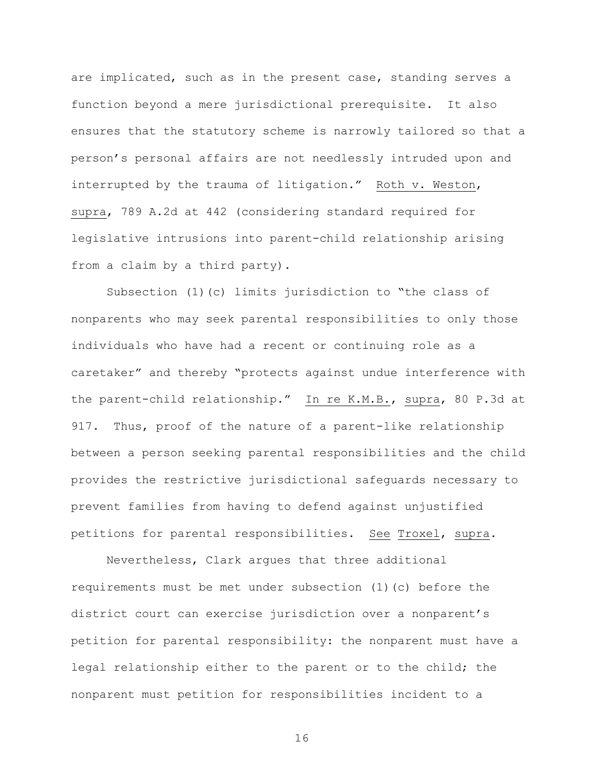are implicated, such as in the present case, standing serves a function beyond a mere jurisdictional prerequisite. It also ensures that the statutory scheme is narrowly tailored so that a person's personal affairs are not needlessly intruded upon and interrupted by the trauma of litigation." Roth v. Weston, supra, 789 A.2d at 442 (considering standard required for legislative intrusions into parent-child relationship arising from a claim by a third party).

Subsection (1)(c) limits jurisdiction to "the class of nonparents who may seek parental responsibilities to only those individuals who have had a recent or continuing role as a caretaker" and thereby "protects against undue interference with the parent-child relationship." In re K.M.B., supra, 80 P.3d at 917. Thus, proof of the nature of a parent-like relationship between a person seeking parental responsibilities and the child provides the restrictive jurisdictional safeguards necessary to prevent families from having to defend against unjustified petitions for parental responsibilities. See Troxel, supra.

Nevertheless, Clark argues that three additional requirements must be met under subsection (1)(c) before the district court can exercise jurisdiction over a nonparent's petition for parental responsibility: the nonparent must have a legal relationship either to the parent or to the child; the nonparent must petition for responsibilities incident to a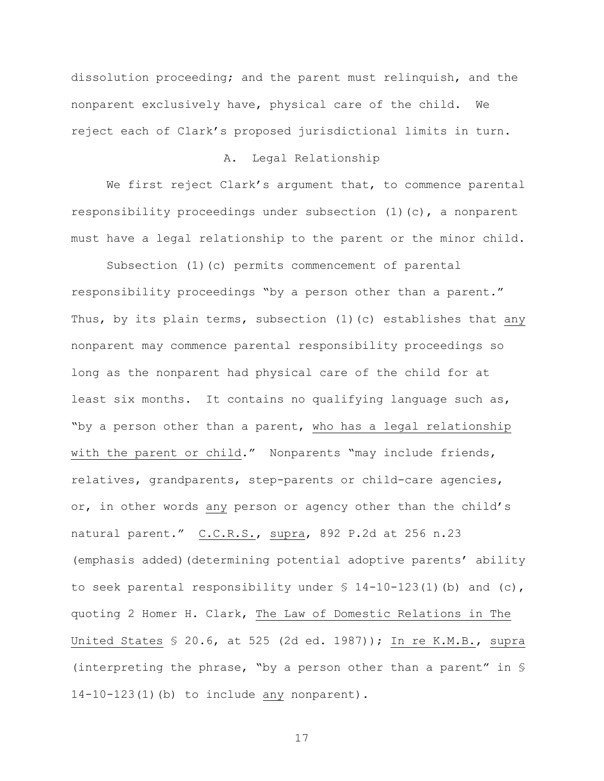dissolution proceeding; and the parent must relinquish, and the nonparent exclusively have, physical care of the child. We reject each of Clark's proposed jurisdictional limits in turn.

## A. Legal Relationship

We first reject Clark's argument that, to commence parental responsibility proceedings under subsection (1)(c), a nonparent must have a legal relationship to the parent or the minor child.

Subsection (1)(c) permits commencement of parental responsibility proceedings "by a person other than a parent." Thus, by its plain terms, subsection (1)(c) establishes that any nonparent may commence parental responsibility proceedings so long as the nonparent had physical care of the child for at least six months. It contains no qualifying language such as, "by a person other than a parent, who has a legal relationship with the parent or child." Nonparents "may include friends, relatives, grandparents, step-parents or child-care agencies, or, in other words any person or agency other than the child's natural parent." C.C.R.S., supra, 892 P.2d at 256 n.23 (emphasis added)(determining potential adoptive parents' ability to seek parental responsibility under  $\S$  14-10-123(1)(b) and (c), quoting 2 Homer H. Clark, The Law of Domestic Relations in The United States § 20.6, at 525 (2d ed. 1987)); In re K.M.B., supra (interpreting the phrase, "by a person other than a parent" in § 14-10-123(1)(b) to include any nonparent).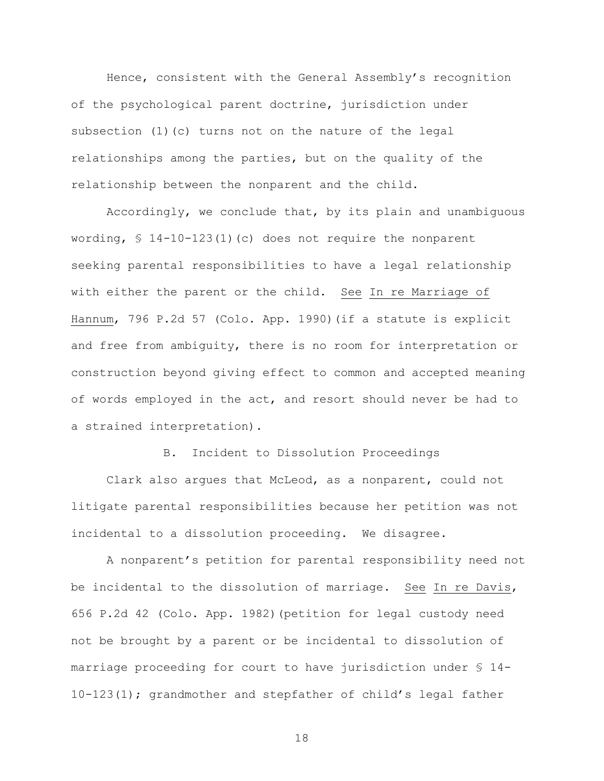Hence, consistent with the General Assembly's recognition of the psychological parent doctrine, jurisdiction under subsection  $(1)(c)$  turns not on the nature of the legal relationships among the parties, but on the quality of the relationship between the nonparent and the child.

Accordingly, we conclude that, by its plain and unambiguous wording,  $$ 14-10-123(1)(c)$  does not require the nonparent seeking parental responsibilities to have a legal relationship with either the parent or the child. See In re Marriage of Hannum, 796 P.2d 57 (Colo. App. 1990)(if a statute is explicit and free from ambiguity, there is no room for interpretation or construction beyond giving effect to common and accepted meaning of words employed in the act, and resort should never be had to a strained interpretation).

B. Incident to Dissolution Proceedings

Clark also argues that McLeod, as a nonparent, could not litigate parental responsibilities because her petition was not incidental to a dissolution proceeding. We disagree.

A nonparent's petition for parental responsibility need not be incidental to the dissolution of marriage. See In re Davis, 656 P.2d 42 (Colo. App. 1982)(petition for legal custody need not be brought by a parent or be incidental to dissolution of marriage proceeding for court to have jurisdiction under § 14- 10-123(1); grandmother and stepfather of child's legal father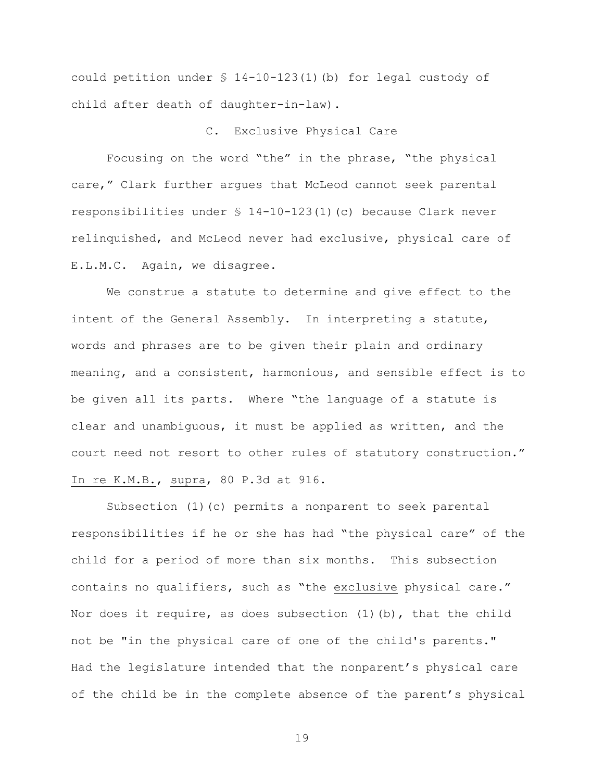could petition under § 14-10-123(1)(b) for legal custody of child after death of daughter-in-law).

## C. Exclusive Physical Care

Focusing on the word "the" in the phrase, "the physical care," Clark further argues that McLeod cannot seek parental responsibilities under § 14-10-123(1)(c) because Clark never relinquished, and McLeod never had exclusive, physical care of E.L.M.C. Again, we disagree.

We construe a statute to determine and give effect to the intent of the General Assembly. In interpreting a statute, words and phrases are to be given their plain and ordinary meaning, and a consistent, harmonious, and sensible effect is to be given all its parts. Where "the language of a statute is clear and unambiguous, it must be applied as written, and the court need not resort to other rules of statutory construction." In re K.M.B., supra, 80 P.3d at 916.

Subsection (1)(c) permits a nonparent to seek parental responsibilities if he or she has had "the physical care" of the child for a period of more than six months. This subsection contains no qualifiers, such as "the exclusive physical care." Nor does it require, as does subsection  $(1)$  (b), that the child not be "in the physical care of one of the child's parents." Had the legislature intended that the nonparent's physical care of the child be in the complete absence of the parent's physical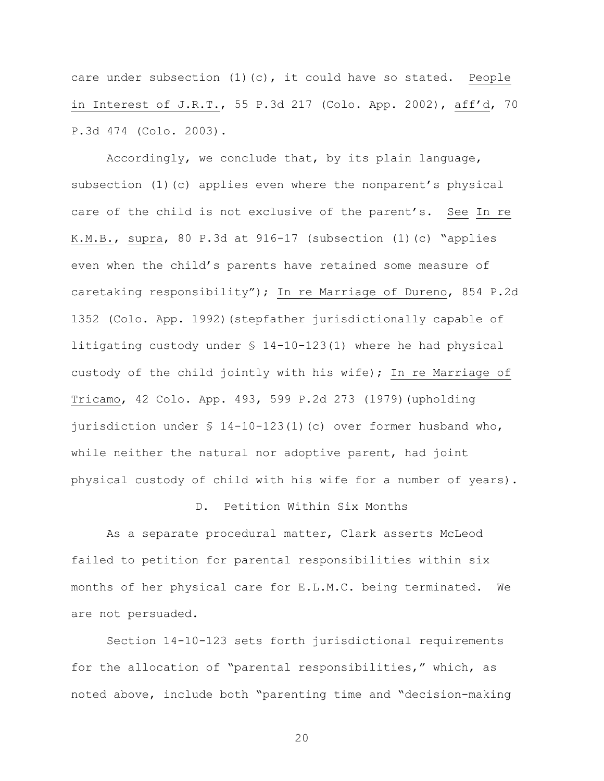care under subsection (1)(c), it could have so stated. People in Interest of J.R.T., 55 P.3d 217 (Colo. App. 2002), aff'd, 70 P.3d 474 (Colo. 2003).

Accordingly, we conclude that, by its plain language, subsection (1)(c) applies even where the nonparent's physical care of the child is not exclusive of the parent's. See In re K.M.B., supra, 80 P.3d at 916-17 (subsection (1)(c) "applies even when the child's parents have retained some measure of caretaking responsibility"); In re Marriage of Dureno, 854 P.2d 1352 (Colo. App. 1992)(stepfather jurisdictionally capable of litigating custody under § 14-10-123(1) where he had physical custody of the child jointly with his wife); In re Marriage of Tricamo, 42 Colo. App. 493, 599 P.2d 273 (1979)(upholding jurisdiction under § 14-10-123(1)(c) over former husband who, while neither the natural nor adoptive parent, had joint physical custody of child with his wife for a number of years).

### D. Petition Within Six Months

As a separate procedural matter, Clark asserts McLeod failed to petition for parental responsibilities within six months of her physical care for E.L.M.C. being terminated. We are not persuaded.

Section 14-10-123 sets forth jurisdictional requirements for the allocation of "parental responsibilities," which, as noted above, include both "parenting time and "decision-making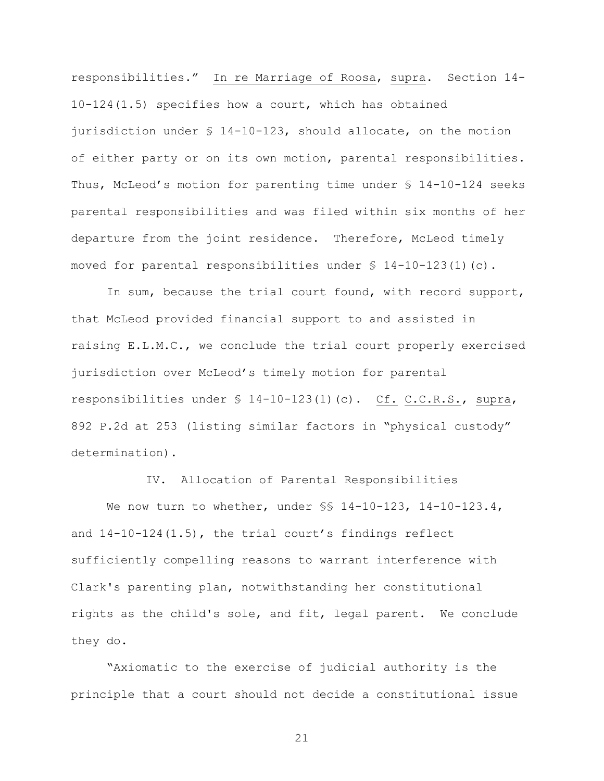responsibilities." In re Marriage of Roosa, supra. Section 14-10-124(1.5) specifies how a court, which has obtained jurisdiction under § 14-10-123, should allocate, on the motion of either party or on its own motion, parental responsibilities. Thus, McLeod's motion for parenting time under § 14-10-124 seeks parental responsibilities and was filed within six months of her departure from the joint residence. Therefore, McLeod timely moved for parental responsibilities under  $\frac{1}{2}$  14-10-123(1)(c).

In sum, because the trial court found, with record support, that McLeod provided financial support to and assisted in raising E.L.M.C., we conclude the trial court properly exercised jurisdiction over McLeod's timely motion for parental responsibilities under § 14-10-123(1)(c). Cf. C.C.R.S., supra, 892 P.2d at 253 (listing similar factors in "physical custody" determination).

IV. Allocation of Parental Responsibilities

We now turn to whether, under  $\S$ § 14-10-123, 14-10-123.4, and 14-10-124(1.5), the trial court's findings reflect sufficiently compelling reasons to warrant interference with Clark's parenting plan, notwithstanding her constitutional rights as the child's sole, and fit, legal parent. We conclude they do.

"Axiomatic to the exercise of judicial authority is the principle that a court should not decide a constitutional issue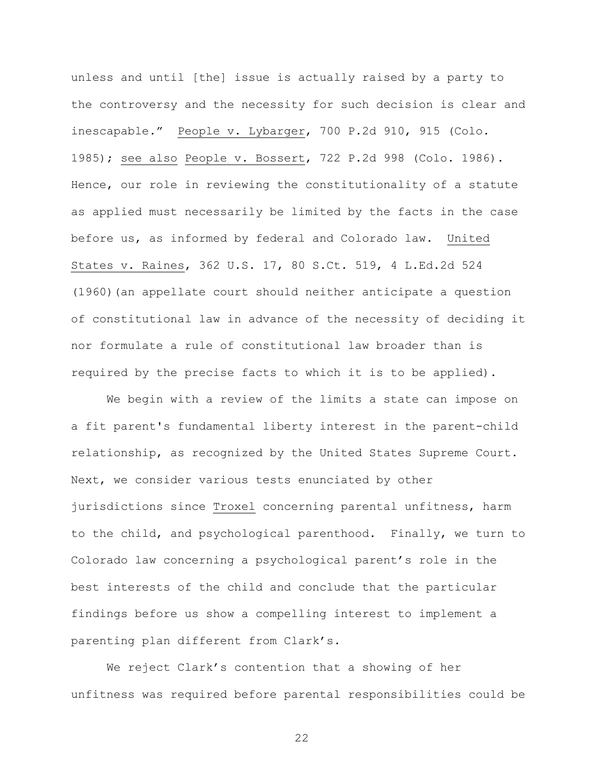unless and until [the] issue is actually raised by a party to the controversy and the necessity for such decision is clear and inescapable." People v. Lybarger, 700 P.2d 910, 915 (Colo. 1985); see also People v. Bossert, 722 P.2d 998 (Colo. 1986). Hence, our role in reviewing the constitutionality of a statute as applied must necessarily be limited by the facts in the case before us, as informed by federal and Colorado law. United States v. Raines, 362 U.S. 17, 80 S.Ct. 519, 4 L.Ed.2d 524 (1960)(an appellate court should neither anticipate a question of constitutional law in advance of the necessity of deciding it nor formulate a rule of constitutional law broader than is required by the precise facts to which it is to be applied).

We begin with a review of the limits a state can impose on a fit parent's fundamental liberty interest in the parent-child relationship, as recognized by the United States Supreme Court. Next, we consider various tests enunciated by other jurisdictions since Troxel concerning parental unfitness, harm to the child, and psychological parenthood. Finally, we turn to Colorado law concerning a psychological parent's role in the best interests of the child and conclude that the particular findings before us show a compelling interest to implement a parenting plan different from Clark's.

We reject Clark's contention that a showing of her unfitness was required before parental responsibilities could be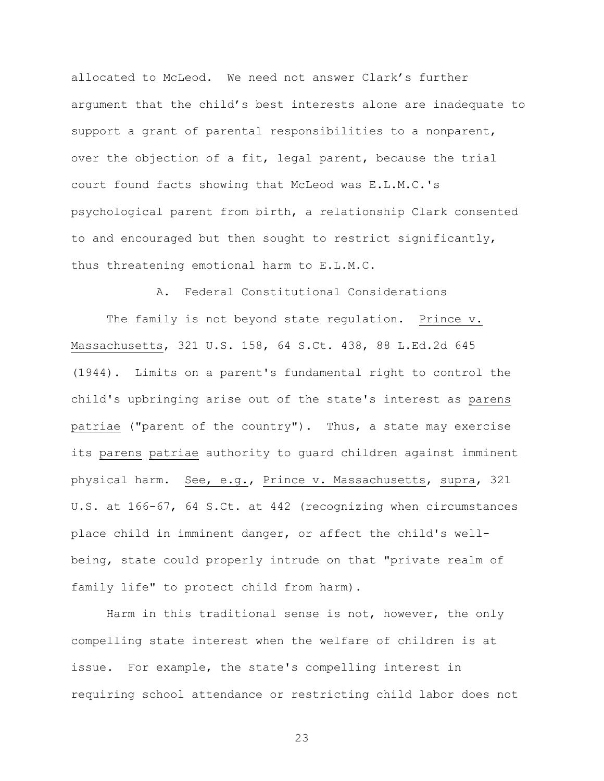allocated to McLeod. We need not answer Clark's further argument that the child's best interests alone are inadequate to support a grant of parental responsibilities to a nonparent, over the objection of a fit, legal parent, because the trial court found facts showing that McLeod was E.L.M.C.'s psychological parent from birth, a relationship Clark consented to and encouraged but then sought to restrict significantly, thus threatening emotional harm to E.L.M.C.

A. Federal Constitutional Considerations

The family is not beyond state regulation. Prince v. Massachusetts, 321 U.S. 158, 64 S.Ct. 438, 88 L.Ed.2d 645 (1944). Limits on a parent's fundamental right to control the child's upbringing arise out of the state's interest as parens patriae ("parent of the country"). Thus, a state may exercise its parens patriae authority to guard children against imminent physical harm. See, e.g., Prince v. Massachusetts, supra, 321 U.S. at 166-67, 64 S.Ct. at 442 (recognizing when circumstances place child in imminent danger, or affect the child's wellbeing, state could properly intrude on that "private realm of family life" to protect child from harm).

Harm in this traditional sense is not, however, the only compelling state interest when the welfare of children is at issue. For example, the state's compelling interest in requiring school attendance or restricting child labor does not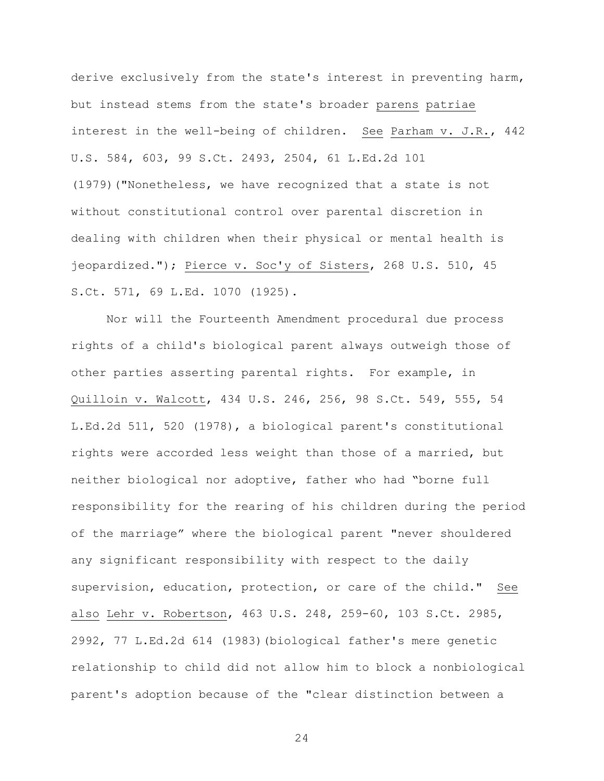derive exclusively from the state's interest in preventing harm, but instead stems from the state's broader parens patriae interest in the well-being of children. See Parham v. J.R., 442 U.S. 584, 603, 99 S.Ct. 2493, 2504, 61 L.Ed.2d 101 (1979)("Nonetheless, we have recognized that a state is not without constitutional control over parental discretion in dealing with children when their physical or mental health is jeopardized."); Pierce v. Soc'y of Sisters, 268 U.S. 510, 45 S.Ct. 571, 69 L.Ed. 1070 (1925).

Nor will the Fourteenth Amendment procedural due process rights of a child's biological parent always outweigh those of other parties asserting parental rights. For example, in Quilloin v. Walcott, 434 U.S. 246, 256, 98 S.Ct. 549, 555, 54 L.Ed.2d 511, 520 (1978), a biological parent's constitutional rights were accorded less weight than those of a married, but neither biological nor adoptive, father who had "borne full responsibility for the rearing of his children during the period of the marriage" where the biological parent "never shouldered any significant responsibility with respect to the daily supervision, education, protection, or care of the child." See also Lehr v. Robertson, 463 U.S. 248, 259-60, 103 S.Ct. 2985, 2992, 77 L.Ed.2d 614 (1983)(biological father's mere genetic relationship to child did not allow him to block a nonbiological parent's adoption because of the "clear distinction between a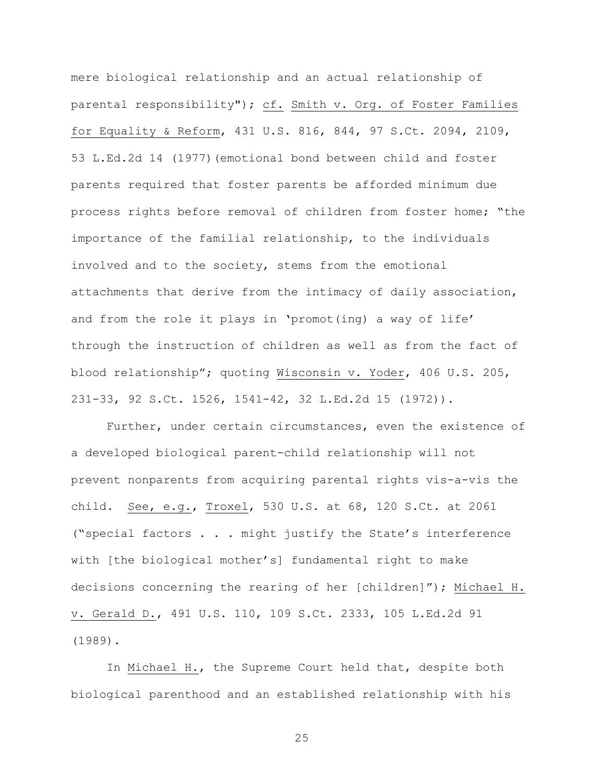mere biological relationship and an actual relationship of parental responsibility"); cf. Smith v. Org. of Foster Families for Equality & Reform, 431 U.S. 816, 844, 97 S.Ct. 2094, 2109, 53 L.Ed.2d 14 (1977)(emotional bond between child and foster parents required that foster parents be afforded minimum due process rights before removal of children from foster home; "the importance of the familial relationship, to the individuals involved and to the society, stems from the emotional attachments that derive from the intimacy of daily association, and from the role it plays in 'promot(ing) a way of life' through the instruction of children as well as from the fact of blood relationship"; quoting Wisconsin v. Yoder, 406 U.S. 205, 231-33, 92 S.Ct. 1526, 1541-42, 32 L.Ed.2d 15 (1972)).

Further, under certain circumstances, even the existence of a developed biological parent-child relationship will not prevent nonparents from acquiring parental rights vis-a-vis the child. See, e.g., Troxel, 530 U.S. at 68, 120 S.Ct. at 2061 ("special factors . . . might justify the State's interference with [the biological mother's] fundamental right to make decisions concerning the rearing of her [children]"); Michael H. v. Gerald D., 491 U.S. 110, 109 S.Ct. 2333, 105 L.Ed.2d 91 (1989).

In Michael H., the Supreme Court held that, despite both biological parenthood and an established relationship with his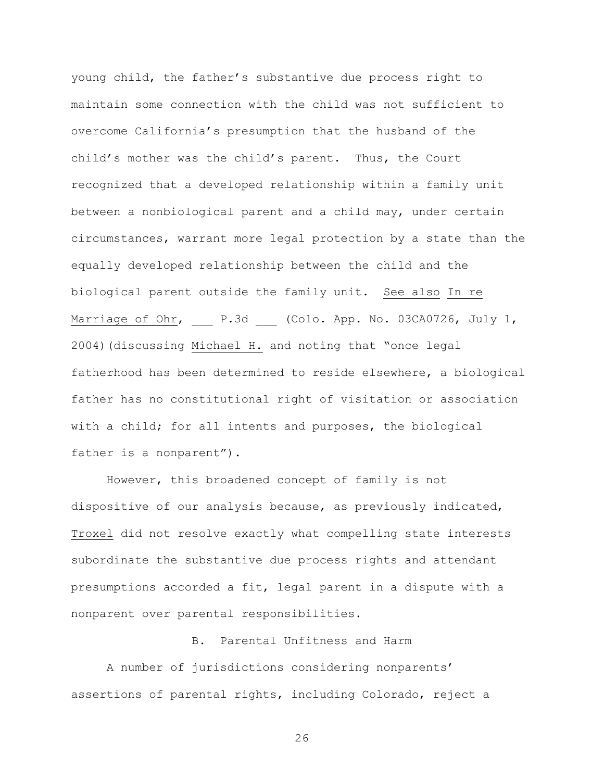young child, the father's substantive due process right to maintain some connection with the child was not sufficient to overcome California's presumption that the husband of the child's mother was the child's parent. Thus, the Court recognized that a developed relationship within a family unit between a nonbiological parent and a child may, under certain circumstances, warrant more legal protection by a state than the equally developed relationship between the child and the biological parent outside the family unit. See also In re Marriage of Ohr, P.3d (Colo. App. No. 03CA0726, July 1, 2004)(discussing Michael H. and noting that "once legal fatherhood has been determined to reside elsewhere, a biological father has no constitutional right of visitation or association with a child; for all intents and purposes, the biological father is a nonparent").

However, this broadened concept of family is not dispositive of our analysis because, as previously indicated, Troxel did not resolve exactly what compelling state interests subordinate the substantive due process rights and attendant presumptions accorded a fit, legal parent in a dispute with a nonparent over parental responsibilities.

# B. Parental Unfitness and Harm

A number of jurisdictions considering nonparents' assertions of parental rights, including Colorado, reject a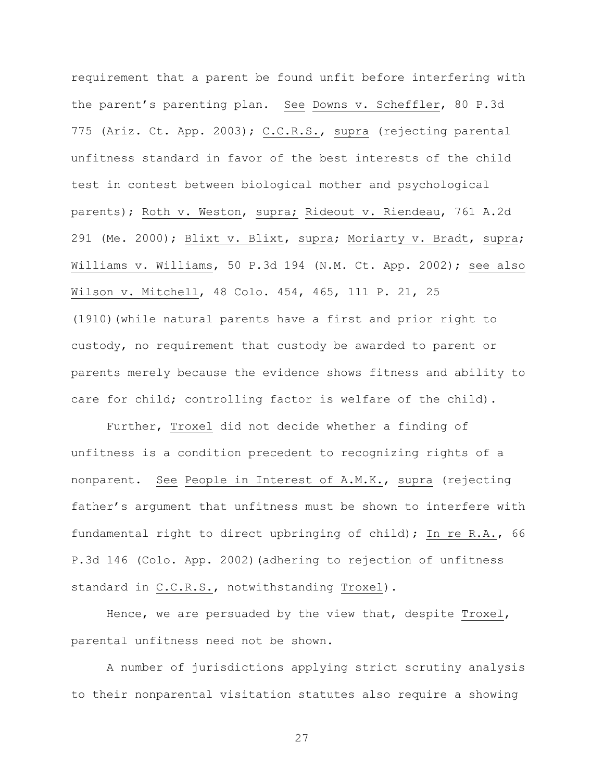requirement that a parent be found unfit before interfering with the parent's parenting plan. See Downs v. Scheffler, 80 P.3d 775 (Ariz. Ct. App. 2003); C.C.R.S., supra (rejecting parental unfitness standard in favor of the best interests of the child test in contest between biological mother and psychological parents); Roth v. Weston, supra; Rideout v. Riendeau, 761 A.2d 291 (Me. 2000); Blixt v. Blixt, supra; Moriarty v. Bradt, supra; Williams v. Williams, 50 P.3d 194 (N.M. Ct. App. 2002); see also Wilson v. Mitchell, 48 Colo. 454, 465, 111 P. 21, 25 (1910)(while natural parents have a first and prior right to custody, no requirement that custody be awarded to parent or parents merely because the evidence shows fitness and ability to care for child; controlling factor is welfare of the child).

Further, Troxel did not decide whether a finding of unfitness is a condition precedent to recognizing rights of a nonparent. See People in Interest of A.M.K., supra (rejecting father's argument that unfitness must be shown to interfere with fundamental right to direct upbringing of child); In re R.A., 66 P.3d 146 (Colo. App. 2002)(adhering to rejection of unfitness standard in C.C.R.S., notwithstanding Troxel).

Hence, we are persuaded by the view that, despite Troxel, parental unfitness need not be shown.

A number of jurisdictions applying strict scrutiny analysis to their nonparental visitation statutes also require a showing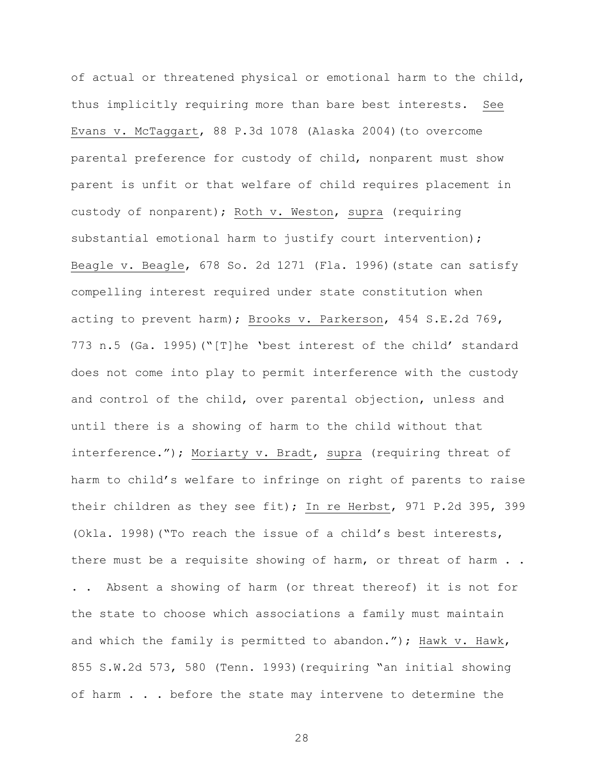of actual or threatened physical or emotional harm to the child, thus implicitly requiring more than bare best interests. See Evans v. McTaggart, 88 P.3d 1078 (Alaska 2004)(to overcome parental preference for custody of child, nonparent must show parent is unfit or that welfare of child requires placement in custody of nonparent); Roth v. Weston, supra (requiring substantial emotional harm to justify court intervention); Beagle v. Beagle, 678 So. 2d 1271 (Fla. 1996)(state can satisfy compelling interest required under state constitution when acting to prevent harm); Brooks v. Parkerson, 454 S.E.2d 769, 773 n.5 (Ga. 1995)("[T]he 'best interest of the child' standard does not come into play to permit interference with the custody and control of the child, over parental objection, unless and until there is a showing of harm to the child without that interference."); Moriarty v. Bradt, supra (requiring threat of harm to child's welfare to infringe on right of parents to raise their children as they see fit); In re Herbst, 971 P.2d 395, 399 (Okla. 1998)("To reach the issue of a child's best interests, there must be a requisite showing of harm, or threat of harm . . . . Absent a showing of harm (or threat thereof) it is not for the state to choose which associations a family must maintain and which the family is permitted to abandon."); Hawk v. Hawk, 855 S.W.2d 573, 580 (Tenn. 1993)(requiring "an initial showing of harm . . . before the state may intervene to determine the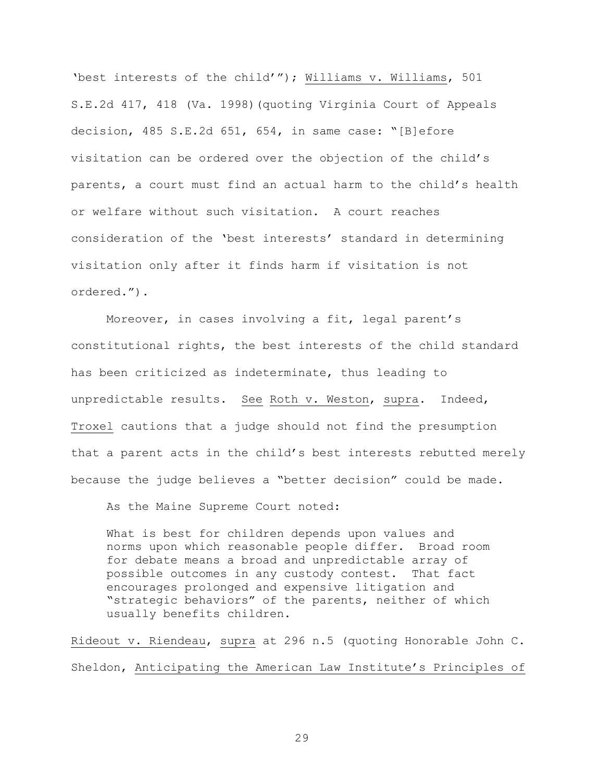'best interests of the child'"); Williams v. Williams, 501 S.E.2d 417, 418 (Va. 1998)(quoting Virginia Court of Appeals decision, 485 S.E.2d 651, 654, in same case: "[B]efore visitation can be ordered over the objection of the child's parents, a court must find an actual harm to the child's health or welfare without such visitation. A court reaches consideration of the 'best interests' standard in determining visitation only after it finds harm if visitation is not ordered.").

Moreover, in cases involving a fit, legal parent's constitutional rights, the best interests of the child standard has been criticized as indeterminate, thus leading to unpredictable results. See Roth v. Weston, supra. Indeed, Troxel cautions that a judge should not find the presumption that a parent acts in the child's best interests rebutted merely because the judge believes a "better decision" could be made.

As the Maine Supreme Court noted:

What is best for children depends upon values and norms upon which reasonable people differ. Broad room for debate means a broad and unpredictable array of possible outcomes in any custody contest. That fact encourages prolonged and expensive litigation and "strategic behaviors" of the parents, neither of which usually benefits children.

Rideout v. Riendeau, supra at 296 n.5 (quoting Honorable John C. Sheldon, Anticipating the American Law Institute's Principles of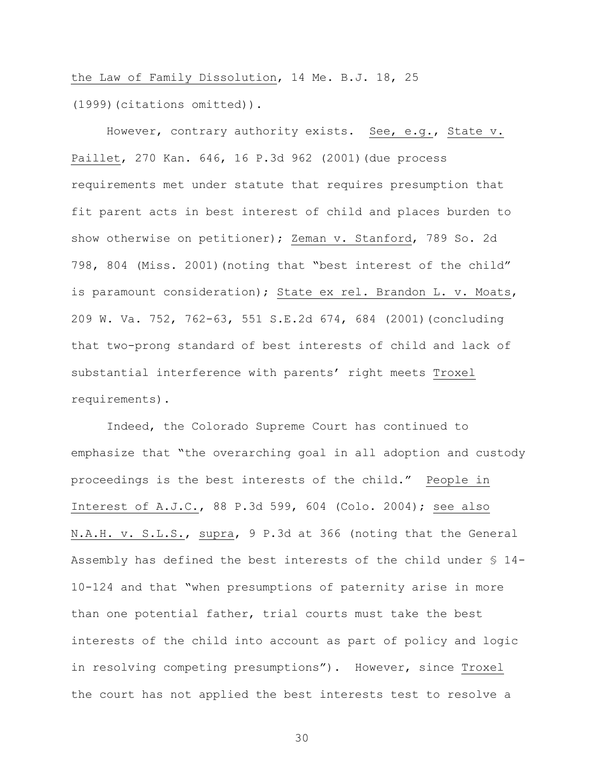the Law of Family Dissolution, 14 Me. B.J. 18, 25 (1999)(citations omitted)).

However, contrary authority exists. See, e.g., State v. Paillet, 270 Kan. 646, 16 P.3d 962 (2001)(due process requirements met under statute that requires presumption that fit parent acts in best interest of child and places burden to show otherwise on petitioner); Zeman v. Stanford, 789 So. 2d 798, 804 (Miss. 2001)(noting that "best interest of the child" is paramount consideration); State ex rel. Brandon L. v. Moats, 209 W. Va. 752, 762-63, 551 S.E.2d 674, 684 (2001)(concluding that two-prong standard of best interests of child and lack of substantial interference with parents' right meets Troxel requirements).

Indeed, the Colorado Supreme Court has continued to emphasize that "the overarching goal in all adoption and custody proceedings is the best interests of the child." People in Interest of A.J.C., 88 P.3d 599, 604 (Colo. 2004); see also N.A.H. v. S.L.S., supra, 9 P.3d at 366 (noting that the General Assembly has defined the best interests of the child under § 14- 10-124 and that "when presumptions of paternity arise in more than one potential father, trial courts must take the best interests of the child into account as part of policy and logic in resolving competing presumptions"). However, since Troxel the court has not applied the best interests test to resolve a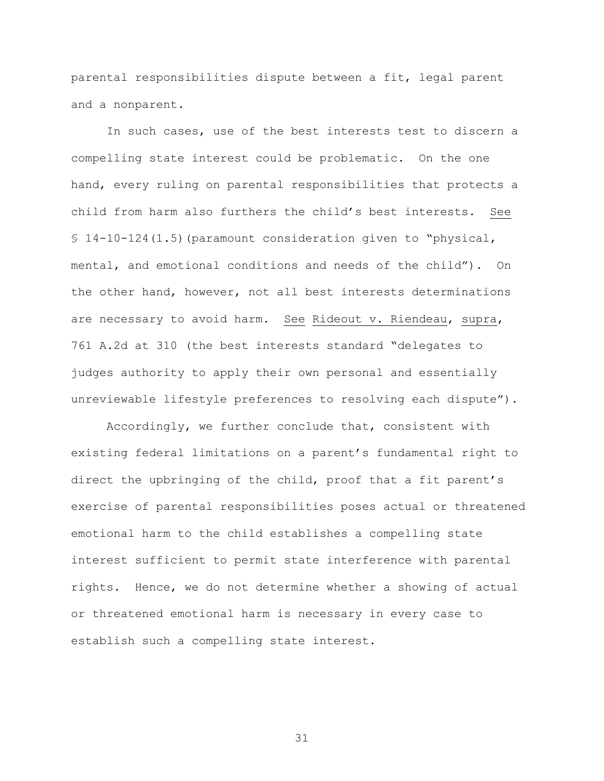parental responsibilities dispute between a fit, legal parent and a nonparent.

In such cases, use of the best interests test to discern a compelling state interest could be problematic. On the one hand, every ruling on parental responsibilities that protects a child from harm also furthers the child's best interests. See § 14-10-124(1.5)(paramount consideration given to "physical, mental, and emotional conditions and needs of the child"). On the other hand, however, not all best interests determinations are necessary to avoid harm. See Rideout v. Riendeau, supra, 761 A.2d at 310 (the best interests standard "delegates to judges authority to apply their own personal and essentially unreviewable lifestyle preferences to resolving each dispute").

Accordingly, we further conclude that, consistent with existing federal limitations on a parent's fundamental right to direct the upbringing of the child, proof that a fit parent's exercise of parental responsibilities poses actual or threatened emotional harm to the child establishes a compelling state interest sufficient to permit state interference with parental rights. Hence, we do not determine whether a showing of actual or threatened emotional harm is necessary in every case to establish such a compelling state interest.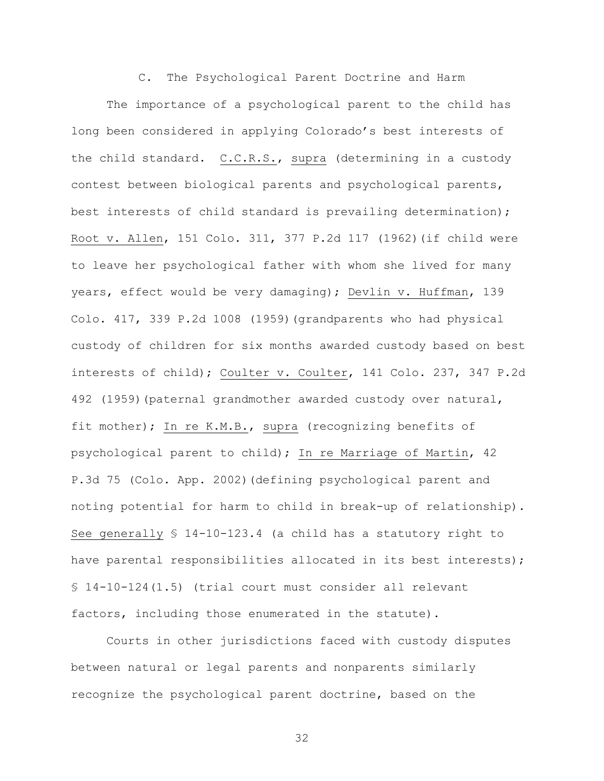C. The Psychological Parent Doctrine and Harm

The importance of a psychological parent to the child has long been considered in applying Colorado's best interests of the child standard. C.C.R.S., supra (determining in a custody contest between biological parents and psychological parents, best interests of child standard is prevailing determination); Root v. Allen, 151 Colo. 311, 377 P.2d 117 (1962)(if child were to leave her psychological father with whom she lived for many years, effect would be very damaging); Devlin v. Huffman, 139 Colo. 417, 339 P.2d 1008 (1959)(grandparents who had physical custody of children for six months awarded custody based on best interests of child); Coulter v. Coulter, 141 Colo. 237, 347 P.2d 492 (1959)(paternal grandmother awarded custody over natural, fit mother); In re K.M.B., supra (recognizing benefits of psychological parent to child); In re Marriage of Martin, 42 P.3d 75 (Colo. App. 2002)(defining psychological parent and noting potential for harm to child in break-up of relationship). See generally § 14-10-123.4 (a child has a statutory right to have parental responsibilities allocated in its best interests); § 14-10-124(1.5) (trial court must consider all relevant factors, including those enumerated in the statute).

Courts in other jurisdictions faced with custody disputes between natural or legal parents and nonparents similarly recognize the psychological parent doctrine, based on the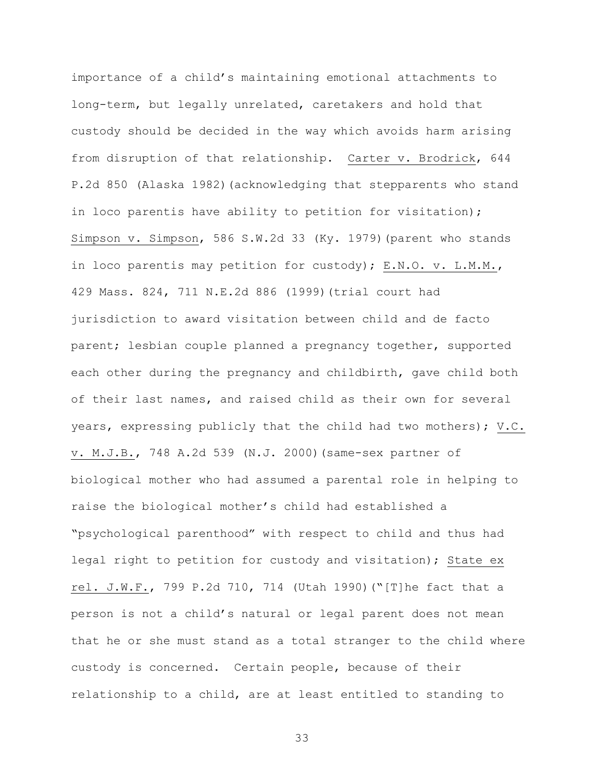importance of a child's maintaining emotional attachments to long-term, but legally unrelated, caretakers and hold that custody should be decided in the way which avoids harm arising from disruption of that relationship. Carter v. Brodrick, 644 P.2d 850 (Alaska 1982)(acknowledging that stepparents who stand in loco parentis have ability to petition for visitation); Simpson v. Simpson, 586 S.W.2d 33 (Ky. 1979)(parent who stands in loco parentis may petition for custody); E.N.O. v. L.M.M., 429 Mass. 824, 711 N.E.2d 886 (1999)(trial court had jurisdiction to award visitation between child and de facto parent; lesbian couple planned a pregnancy together, supported each other during the pregnancy and childbirth, gave child both of their last names, and raised child as their own for several years, expressing publicly that the child had two mothers); V.C. v. M.J.B., 748 A.2d 539 (N.J. 2000)(same-sex partner of biological mother who had assumed a parental role in helping to raise the biological mother's child had established a "psychological parenthood" with respect to child and thus had legal right to petition for custody and visitation); State ex rel. J.W.F., 799 P.2d 710, 714 (Utah 1990)("[T]he fact that a person is not a child's natural or legal parent does not mean that he or she must stand as a total stranger to the child where custody is concerned. Certain people, because of their relationship to a child, are at least entitled to standing to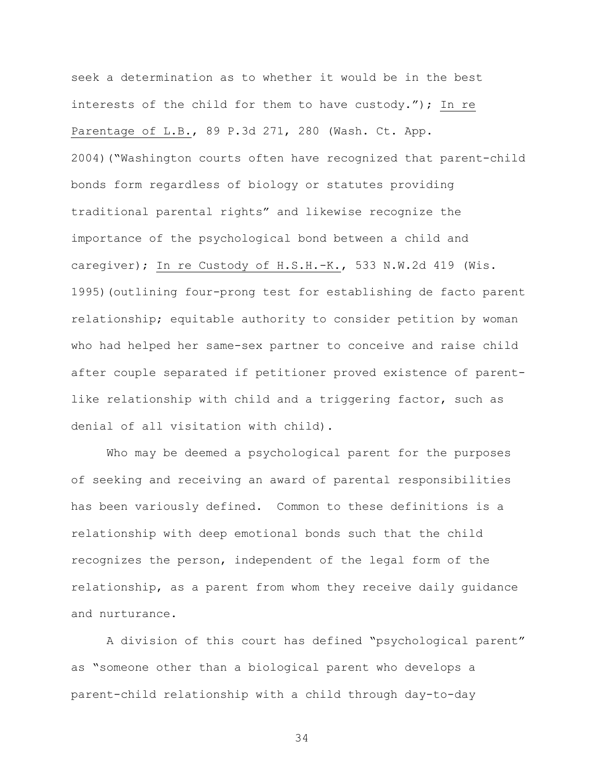seek a determination as to whether it would be in the best interests of the child for them to have custody."); In re Parentage of L.B., 89 P.3d 271, 280 (Wash. Ct. App. 2004)("Washington courts often have recognized that parent-child bonds form regardless of biology or statutes providing traditional parental rights" and likewise recognize the importance of the psychological bond between a child and caregiver); In re Custody of H.S.H.-K., 533 N.W.2d 419 (Wis. 1995)(outlining four-prong test for establishing de facto parent relationship; equitable authority to consider petition by woman who had helped her same-sex partner to conceive and raise child after couple separated if petitioner proved existence of parentlike relationship with child and a triggering factor, such as denial of all visitation with child).

Who may be deemed a psychological parent for the purposes of seeking and receiving an award of parental responsibilities has been variously defined. Common to these definitions is a relationship with deep emotional bonds such that the child recognizes the person, independent of the legal form of the relationship, as a parent from whom they receive daily guidance and nurturance.

A division of this court has defined "psychological parent" as "someone other than a biological parent who develops a parent-child relationship with a child through day-to-day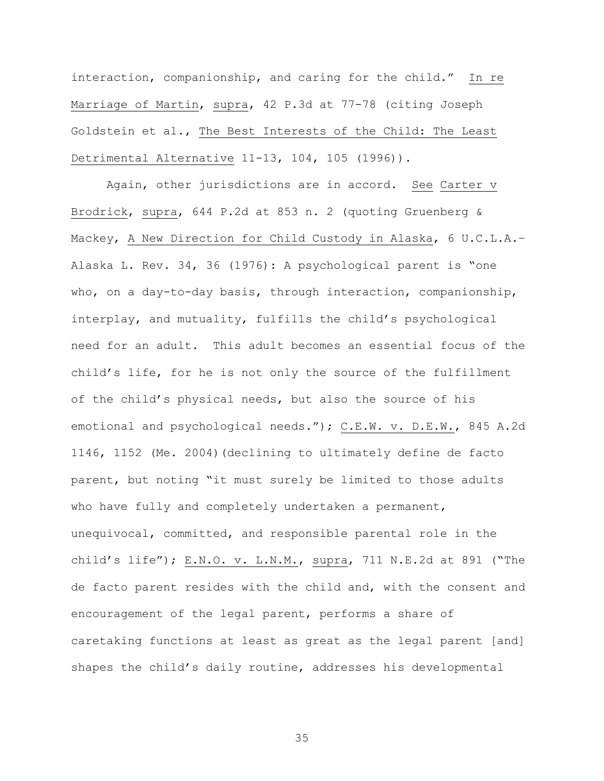interaction, companionship, and caring for the child." In re Marriage of Martin, supra, 42 P.3d at 77-78 (citing Joseph Goldstein et al., The Best Interests of the Child: The Least Detrimental Alternative 11-13, 104, 105 (1996)).

Again, other jurisdictions are in accord. See Carter v Brodrick, supra, 644 P.2d at 853 n. 2 (quoting Gruenberg & Mackey, A New Direction for Child Custody in Alaska, 6 U.C.L.A.– Alaska L. Rev. 34, 36 (1976): A psychological parent is "one who, on a day-to-day basis, through interaction, companionship, interplay, and mutuality, fulfills the child's psychological need for an adult. This adult becomes an essential focus of the child's life, for he is not only the source of the fulfillment of the child's physical needs, but also the source of his emotional and psychological needs."); C.E.W. v. D.E.W., 845 A.2d 1146, 1152 (Me. 2004)(declining to ultimately define de facto parent, but noting "it must surely be limited to those adults who have fully and completely undertaken a permanent, unequivocal, committed, and responsible parental role in the child's life"); E.N.O. v. L.N.M., supra, 711 N.E.2d at 891 ("The de facto parent resides with the child and, with the consent and encouragement of the legal parent, performs a share of caretaking functions at least as great as the legal parent [and] shapes the child's daily routine, addresses his developmental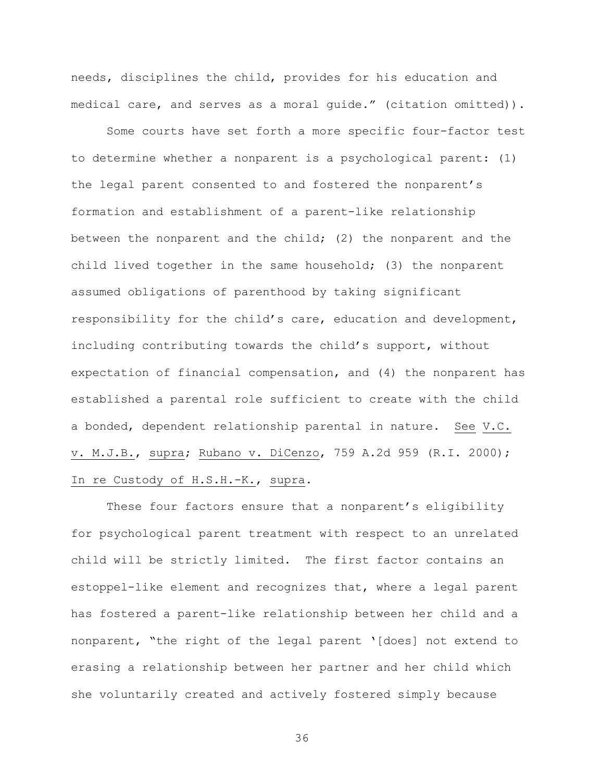needs, disciplines the child, provides for his education and medical care, and serves as a moral guide." (citation omitted)).

Some courts have set forth a more specific four-factor test to determine whether a nonparent is a psychological parent: (1) the legal parent consented to and fostered the nonparent's formation and establishment of a parent-like relationship between the nonparent and the child; (2) the nonparent and the child lived together in the same household; (3) the nonparent assumed obligations of parenthood by taking significant responsibility for the child's care, education and development, including contributing towards the child's support, without expectation of financial compensation, and (4) the nonparent has established a parental role sufficient to create with the child a bonded, dependent relationship parental in nature. See V.C. v. M.J.B., supra; Rubano v. DiCenzo, 759 A.2d 959 (R.I. 2000); In re Custody of H.S.H.-K., supra.

These four factors ensure that a nonparent's eligibility for psychological parent treatment with respect to an unrelated child will be strictly limited. The first factor contains an estoppel-like element and recognizes that, where a legal parent has fostered a parent-like relationship between her child and a nonparent, "the right of the legal parent '[does] not extend to erasing a relationship between her partner and her child which she voluntarily created and actively fostered simply because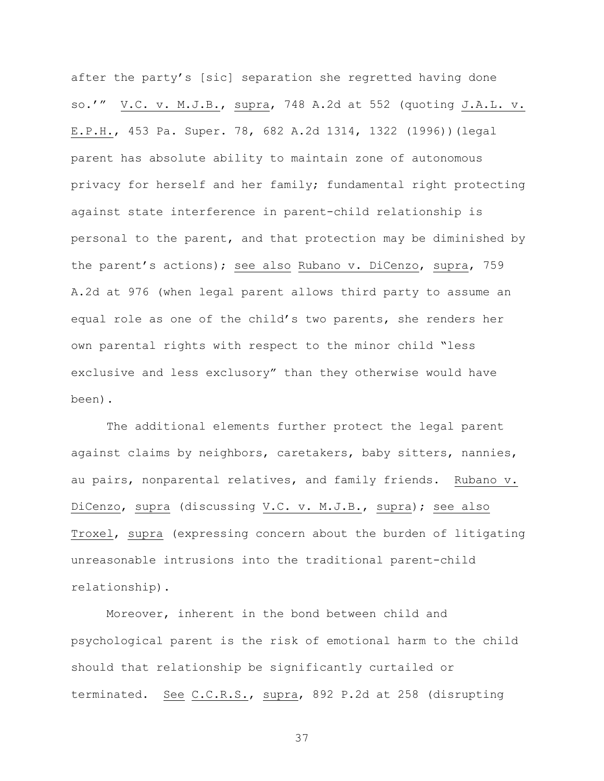after the party's [sic] separation she regretted having done so.'" V.C. v. M.J.B., supra, 748 A.2d at 552 (quoting J.A.L. v. E.P.H., 453 Pa. Super. 78, 682 A.2d 1314, 1322 (1996))(legal parent has absolute ability to maintain zone of autonomous privacy for herself and her family; fundamental right protecting against state interference in parent-child relationship is personal to the parent, and that protection may be diminished by the parent's actions); see also Rubano v. DiCenzo, supra, 759 A.2d at 976 (when legal parent allows third party to assume an equal role as one of the child's two parents, she renders her own parental rights with respect to the minor child "less exclusive and less exclusory" than they otherwise would have been).

The additional elements further protect the legal parent against claims by neighbors, caretakers, baby sitters, nannies, au pairs, nonparental relatives, and family friends. Rubano v. DiCenzo, supra (discussing V.C. v. M.J.B., supra); see also Troxel, supra (expressing concern about the burden of litigating unreasonable intrusions into the traditional parent-child relationship).

Moreover, inherent in the bond between child and psychological parent is the risk of emotional harm to the child should that relationship be significantly curtailed or terminated. See C.C.R.S., supra, 892 P.2d at 258 (disrupting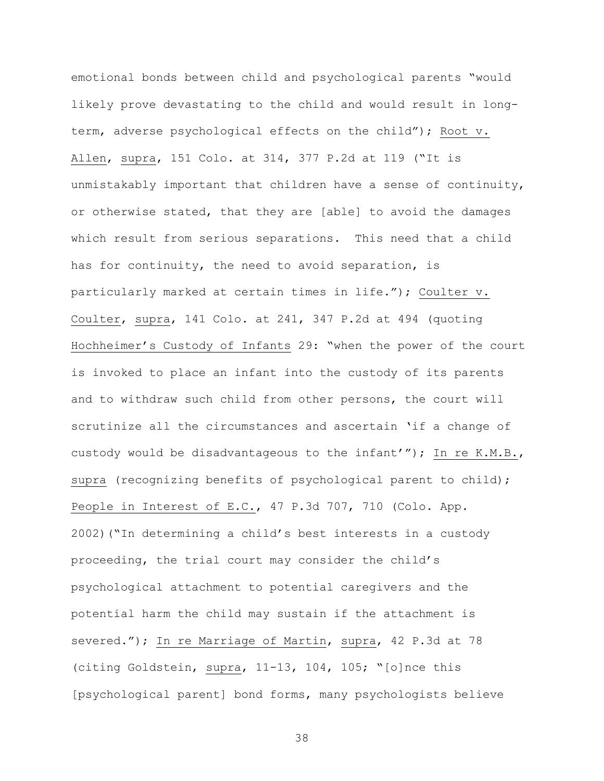emotional bonds between child and psychological parents "would likely prove devastating to the child and would result in longterm, adverse psychological effects on the child"); Root v. Allen, supra, 151 Colo. at 314, 377 P.2d at 119 ("It is unmistakably important that children have a sense of continuity, or otherwise stated, that they are [able] to avoid the damages which result from serious separations. This need that a child has for continuity, the need to avoid separation, is particularly marked at certain times in life."); Coulter v. Coulter, supra, 141 Colo. at 241, 347 P.2d at 494 (quoting Hochheimer's Custody of Infants 29: "when the power of the court is invoked to place an infant into the custody of its parents and to withdraw such child from other persons, the court will scrutinize all the circumstances and ascertain 'if a change of custody would be disadvantageous to the infant'"); In re K.M.B., supra (recognizing benefits of psychological parent to child); People in Interest of E.C., 47 P.3d 707, 710 (Colo. App. 2002)("In determining a child's best interests in a custody proceeding, the trial court may consider the child's psychological attachment to potential caregivers and the potential harm the child may sustain if the attachment is severed."); In re Marriage of Martin, supra, 42 P.3d at 78 (citing Goldstein, supra, 11-13, 104, 105; "[o]nce this [psychological parent] bond forms, many psychologists believe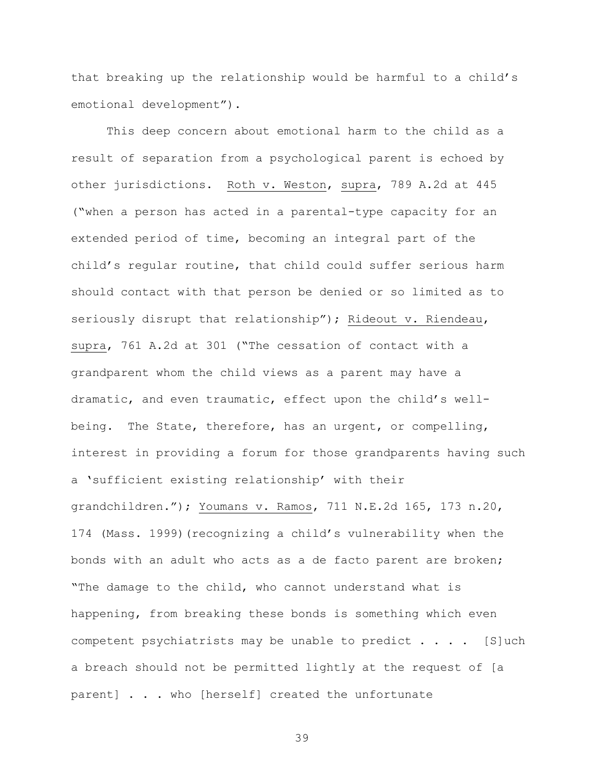that breaking up the relationship would be harmful to a child's emotional development").

This deep concern about emotional harm to the child as a result of separation from a psychological parent is echoed by other jurisdictions. Roth v. Weston, supra, 789 A.2d at 445 ("when a person has acted in a parental-type capacity for an extended period of time, becoming an integral part of the child's regular routine, that child could suffer serious harm should contact with that person be denied or so limited as to seriously disrupt that relationship"); Rideout v. Riendeau, supra, 761 A.2d at 301 ("The cessation of contact with a grandparent whom the child views as a parent may have a dramatic, and even traumatic, effect upon the child's wellbeing. The State, therefore, has an urgent, or compelling, interest in providing a forum for those grandparents having such a 'sufficient existing relationship' with their grandchildren."); Youmans v. Ramos, 711 N.E.2d 165, 173 n.20, 174 (Mass. 1999)(recognizing a child's vulnerability when the bonds with an adult who acts as a de facto parent are broken; "The damage to the child, who cannot understand what is happening, from breaking these bonds is something which even competent psychiatrists may be unable to predict  $\ldots$ . [S]uch a breach should not be permitted lightly at the request of [a parent] . . . who [herself] created the unfortunate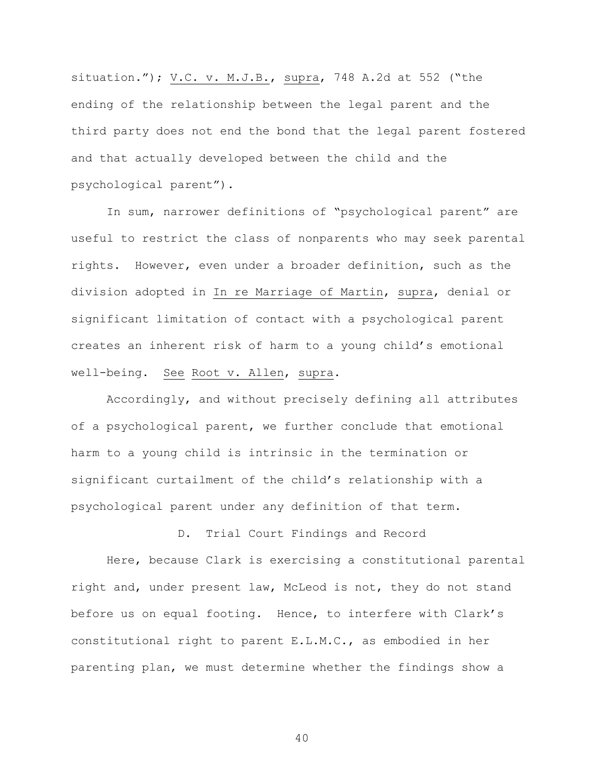situation.");  $V.C. v. M.J.B., supra, 748 A.2d at 552$  ("the ending of the relationship between the legal parent and the third party does not end the bond that the legal parent fostered and that actually developed between the child and the psychological parent").

In sum, narrower definitions of "psychological parent" are useful to restrict the class of nonparents who may seek parental rights. However, even under a broader definition, such as the division adopted in In re Marriage of Martin, supra, denial or significant limitation of contact with a psychological parent creates an inherent risk of harm to a young child's emotional well-being. See Root v. Allen, supra.

Accordingly, and without precisely defining all attributes of a psychological parent, we further conclude that emotional harm to a young child is intrinsic in the termination or significant curtailment of the child's relationship with a psychological parent under any definition of that term.

D. Trial Court Findings and Record

Here, because Clark is exercising a constitutional parental right and, under present law, McLeod is not, they do not stand before us on equal footing. Hence, to interfere with Clark's constitutional right to parent E.L.M.C., as embodied in her parenting plan, we must determine whether the findings show a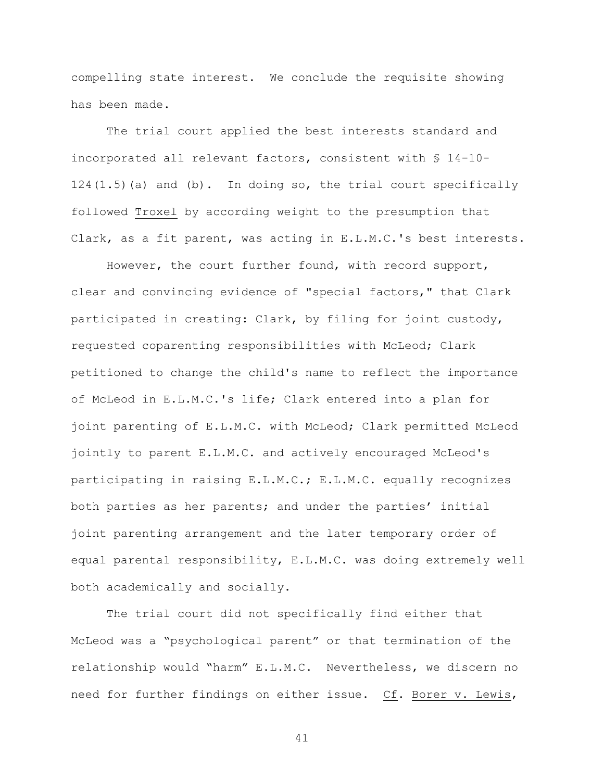compelling state interest. We conclude the requisite showing has been made.

The trial court applied the best interests standard and incorporated all relevant factors, consistent with § 14-10-  $124(1.5)$  (a) and (b). In doing so, the trial court specifically followed Troxel by according weight to the presumption that Clark, as a fit parent, was acting in E.L.M.C.'s best interests.

However, the court further found, with record support, clear and convincing evidence of "special factors," that Clark participated in creating: Clark, by filing for joint custody, requested coparenting responsibilities with McLeod; Clark petitioned to change the child's name to reflect the importance of McLeod in E.L.M.C.'s life; Clark entered into a plan for joint parenting of E.L.M.C. with McLeod; Clark permitted McLeod jointly to parent E.L.M.C. and actively encouraged McLeod's participating in raising E.L.M.C.; E.L.M.C. equally recognizes both parties as her parents; and under the parties' initial joint parenting arrangement and the later temporary order of equal parental responsibility, E.L.M.C. was doing extremely well both academically and socially.

The trial court did not specifically find either that McLeod was a "psychological parent" or that termination of the relationship would "harm" E.L.M.C. Nevertheless, we discern no need for further findings on either issue. Cf. Borer v. Lewis,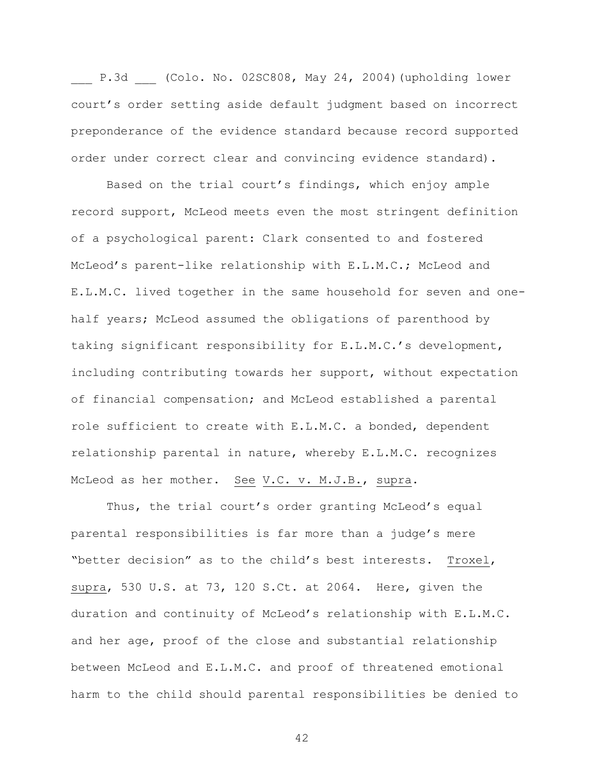P.3d (Colo. No. 02SC808, May 24, 2004)(upholding lower court's order setting aside default judgment based on incorrect preponderance of the evidence standard because record supported order under correct clear and convincing evidence standard).

Based on the trial court's findings, which enjoy ample record support, McLeod meets even the most stringent definition of a psychological parent: Clark consented to and fostered McLeod's parent-like relationship with E.L.M.C.; McLeod and E.L.M.C. lived together in the same household for seven and onehalf years; McLeod assumed the obligations of parenthood by taking significant responsibility for E.L.M.C.'s development, including contributing towards her support, without expectation of financial compensation; and McLeod established a parental role sufficient to create with E.L.M.C. a bonded, dependent relationship parental in nature, whereby E.L.M.C. recognizes McLeod as her mother. See V.C. v. M.J.B., supra.

Thus, the trial court's order granting McLeod's equal parental responsibilities is far more than a judge's mere "better decision" as to the child's best interests. Troxel, supra, 530 U.S. at 73, 120 S.Ct. at 2064. Here, given the duration and continuity of McLeod's relationship with E.L.M.C. and her age, proof of the close and substantial relationship between McLeod and E.L.M.C. and proof of threatened emotional harm to the child should parental responsibilities be denied to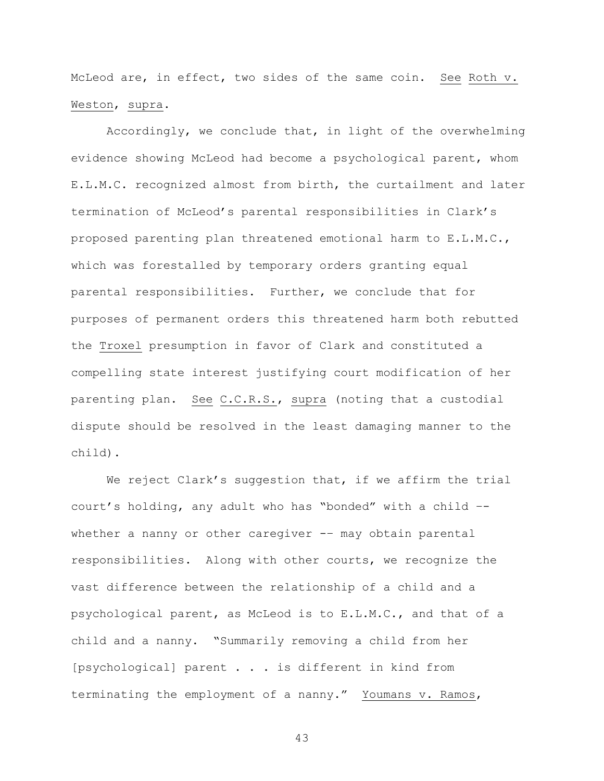McLeod are, in effect, two sides of the same coin. See Roth v. Weston, supra.

Accordingly, we conclude that, in light of the overwhelming evidence showing McLeod had become a psychological parent, whom E.L.M.C. recognized almost from birth, the curtailment and later termination of McLeod's parental responsibilities in Clark's proposed parenting plan threatened emotional harm to E.L.M.C., which was forestalled by temporary orders granting equal parental responsibilities. Further, we conclude that for purposes of permanent orders this threatened harm both rebutted the Troxel presumption in favor of Clark and constituted a compelling state interest justifying court modification of her parenting plan. See C.C.R.S., supra (noting that a custodial dispute should be resolved in the least damaging manner to the child).

We reject Clark's suggestion that, if we affirm the trial court's holding, any adult who has "bonded" with a child – whether a nanny or other caregiver -- may obtain parental responsibilities. Along with other courts, we recognize the vast difference between the relationship of a child and a psychological parent, as McLeod is to E.L.M.C., and that of a child and a nanny. "Summarily removing a child from her [psychological] parent . . . is different in kind from terminating the employment of a nanny." Youmans v. Ramos,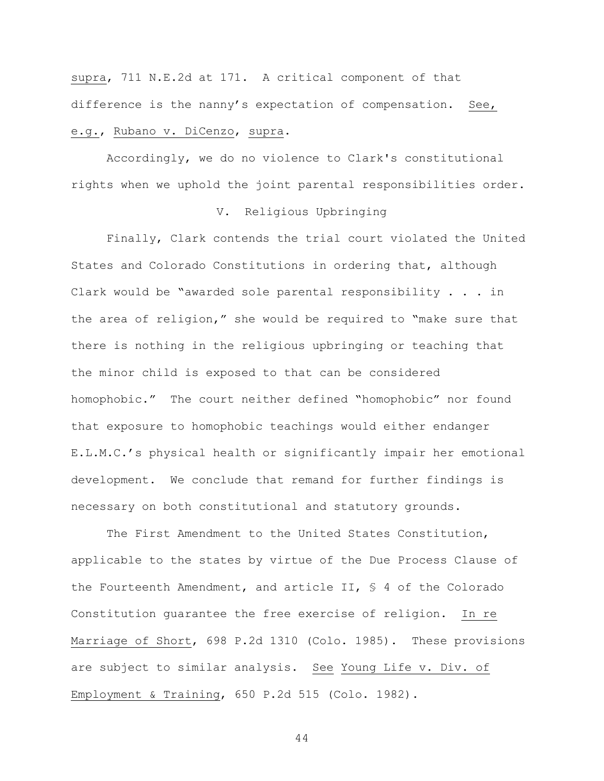supra, 711 N.E.2d at 171. A critical component of that difference is the nanny's expectation of compensation. See,

# e.g., Rubano v. DiCenzo, supra.

Accordingly, we do no violence to Clark's constitutional rights when we uphold the joint parental responsibilities order.

## V. Religious Upbringing

Finally, Clark contends the trial court violated the United States and Colorado Constitutions in ordering that, although Clark would be "awarded sole parental responsibility . . . in the area of religion," she would be required to "make sure that there is nothing in the religious upbringing or teaching that the minor child is exposed to that can be considered homophobic." The court neither defined "homophobic" nor found that exposure to homophobic teachings would either endanger E.L.M.C.'s physical health or significantly impair her emotional development. We conclude that remand for further findings is necessary on both constitutional and statutory grounds.

The First Amendment to the United States Constitution, applicable to the states by virtue of the Due Process Clause of the Fourteenth Amendment, and article II, § 4 of the Colorado Constitution guarantee the free exercise of religion. In re Marriage of Short, 698 P.2d 1310 (Colo. 1985). These provisions are subject to similar analysis. See Young Life v. Div. of Employment & Training, 650 P.2d 515 (Colo. 1982).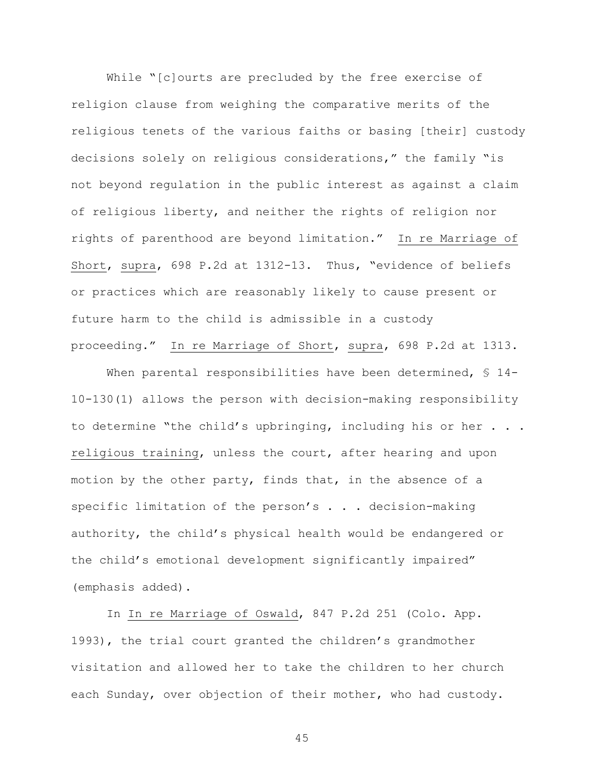While "[c]ourts are precluded by the free exercise of religion clause from weighing the comparative merits of the religious tenets of the various faiths or basing [their] custody decisions solely on religious considerations," the family "is not beyond regulation in the public interest as against a claim of religious liberty, and neither the rights of religion nor rights of parenthood are beyond limitation." In re Marriage of Short, supra, 698 P.2d at 1312-13. Thus, "evidence of beliefs or practices which are reasonably likely to cause present or future harm to the child is admissible in a custody proceeding." In re Marriage of Short, supra, 698 P.2d at 1313.

When parental responsibilities have been determined, § 14-10-130(1) allows the person with decision-making responsibility to determine "the child's upbringing, including his or her . . . religious training, unless the court, after hearing and upon motion by the other party, finds that, in the absence of a specific limitation of the person's . . . decision-making authority, the child's physical health would be endangered or the child's emotional development significantly impaired" (emphasis added).

In In re Marriage of Oswald, 847 P.2d 251 (Colo. App. 1993), the trial court granted the children's grandmother visitation and allowed her to take the children to her church each Sunday, over objection of their mother, who had custody.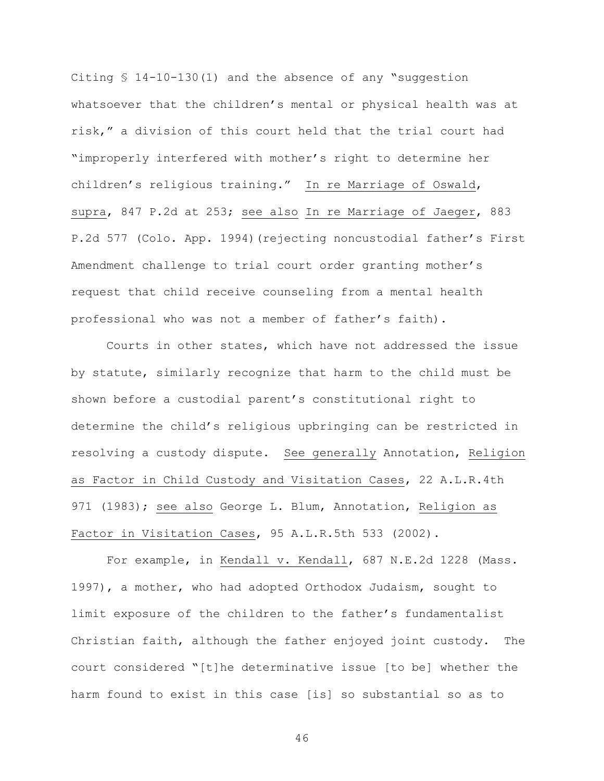Citing § 14-10-130(1) and the absence of any "suggestion whatsoever that the children's mental or physical health was at risk," a division of this court held that the trial court had "improperly interfered with mother's right to determine her children's religious training." In re Marriage of Oswald, supra, 847 P.2d at 253; see also In re Marriage of Jaeger, 883 P.2d 577 (Colo. App. 1994)(rejecting noncustodial father's First Amendment challenge to trial court order granting mother's request that child receive counseling from a mental health professional who was not a member of father's faith).

Courts in other states, which have not addressed the issue by statute, similarly recognize that harm to the child must be shown before a custodial parent's constitutional right to determine the child's religious upbringing can be restricted in resolving a custody dispute. See generally Annotation, Religion as Factor in Child Custody and Visitation Cases, 22 A.L.R.4th 971 (1983); see also George L. Blum, Annotation, Religion as Factor in Visitation Cases, 95 A.L.R.5th 533 (2002).

For example, in Kendall v. Kendall, 687 N.E.2d 1228 (Mass. 1997), a mother, who had adopted Orthodox Judaism, sought to limit exposure of the children to the father's fundamentalist Christian faith, although the father enjoyed joint custody. The court considered "[t]he determinative issue [to be] whether the harm found to exist in this case [is] so substantial so as to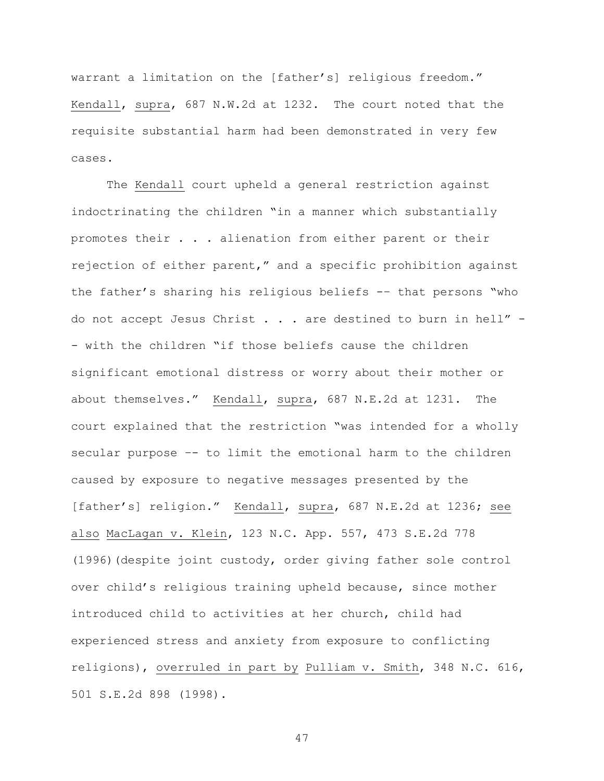warrant a limitation on the [father's] religious freedom." Kendall, supra, 687 N.W.2d at 1232. The court noted that the requisite substantial harm had been demonstrated in very few cases.

The Kendall court upheld a general restriction against indoctrinating the children "in a manner which substantially promotes their . . . alienation from either parent or their rejection of either parent," and a specific prohibition against the father's sharing his religious beliefs -– that persons "who do not accept Jesus Christ . . . are destined to burn in hell" - - with the children "if those beliefs cause the children significant emotional distress or worry about their mother or about themselves." Kendall, supra, 687 N.E.2d at 1231. The court explained that the restriction "was intended for a wholly secular purpose –- to limit the emotional harm to the children caused by exposure to negative messages presented by the [father's] religion." Kendall, supra, 687 N.E.2d at 1236; see also MacLagan v. Klein, 123 N.C. App. 557, 473 S.E.2d 778 (1996)(despite joint custody, order giving father sole control over child's religious training upheld because, since mother introduced child to activities at her church, child had experienced stress and anxiety from exposure to conflicting religions), overruled in part by Pulliam v. Smith, 348 N.C. 616, 501 S.E.2d 898 (1998).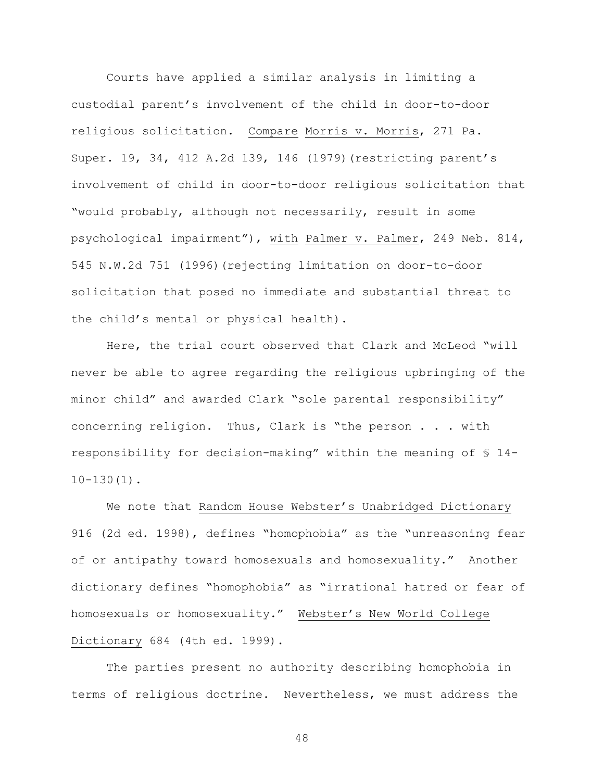Courts have applied a similar analysis in limiting a custodial parent's involvement of the child in door-to-door religious solicitation. Compare Morris v. Morris, 271 Pa. Super. 19, 34, 412 A.2d 139, 146 (1979)(restricting parent's involvement of child in door-to-door religious solicitation that "would probably, although not necessarily, result in some psychological impairment"), with Palmer v. Palmer, 249 Neb. 814, 545 N.W.2d 751 (1996)(rejecting limitation on door-to-door solicitation that posed no immediate and substantial threat to the child's mental or physical health).

Here, the trial court observed that Clark and McLeod "will never be able to agree regarding the religious upbringing of the minor child" and awarded Clark "sole parental responsibility" concerning religion. Thus, Clark is "the person . . . with responsibility for decision-making" within the meaning of § 14- 10-130(1).

We note that Random House Webster's Unabridged Dictionary 916 (2d ed. 1998), defines "homophobia" as the "unreasoning fear of or antipathy toward homosexuals and homosexuality." Another dictionary defines "homophobia" as "irrational hatred or fear of homosexuals or homosexuality." Webster's New World College Dictionary 684 (4th ed. 1999).

The parties present no authority describing homophobia in terms of religious doctrine. Nevertheless, we must address the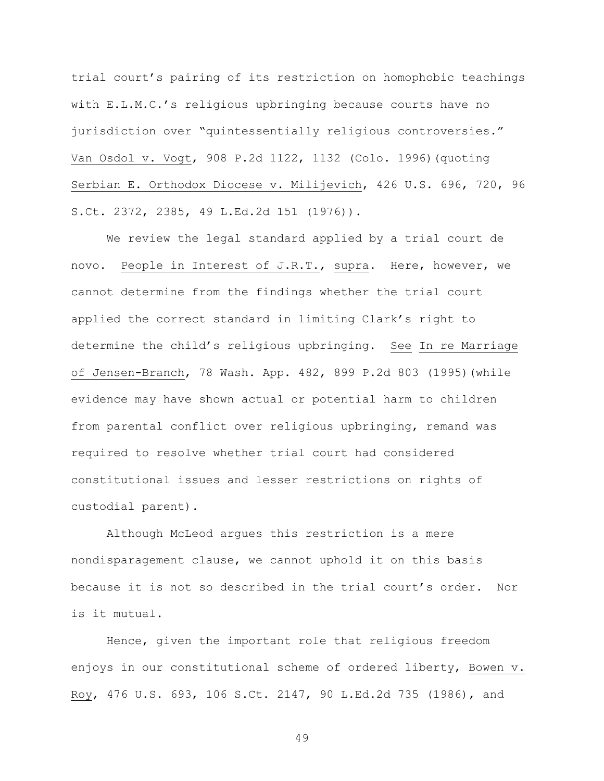trial court's pairing of its restriction on homophobic teachings with E.L.M.C.'s religious upbringing because courts have no jurisdiction over "quintessentially religious controversies." Van Osdol v. Vogt, 908 P.2d 1122, 1132 (Colo. 1996)(quoting Serbian E. Orthodox Diocese v. Milijevich, 426 U.S. 696, 720, 96 S.Ct. 2372, 2385, 49 L.Ed.2d 151 (1976)).

We review the legal standard applied by a trial court de novo. People in Interest of J.R.T., supra. Here, however, we cannot determine from the findings whether the trial court applied the correct standard in limiting Clark's right to determine the child's religious upbringing. See In re Marriage of Jensen-Branch, 78 Wash. App. 482, 899 P.2d 803 (1995)(while evidence may have shown actual or potential harm to children from parental conflict over religious upbringing, remand was required to resolve whether trial court had considered constitutional issues and lesser restrictions on rights of custodial parent).

Although McLeod argues this restriction is a mere nondisparagement clause, we cannot uphold it on this basis because it is not so described in the trial court's order. Nor is it mutual.

Hence, given the important role that religious freedom enjoys in our constitutional scheme of ordered liberty, Bowen v. Roy, 476 U.S. 693, 106 S.Ct. 2147, 90 L.Ed.2d 735 (1986), and